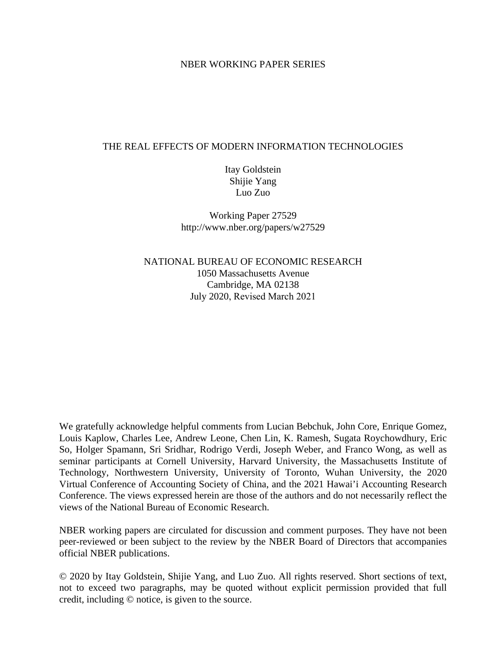## NBER WORKING PAPER SERIES

## THE REAL EFFECTS OF MODERN INFORMATION TECHNOLOGIES

Itay Goldstein Shijie Yang Luo Zuo

Working Paper 27529 http://www.nber.org/papers/w27529

NATIONAL BUREAU OF ECONOMIC RESEARCH 1050 Massachusetts Avenue Cambridge, MA 02138 July 2020, Revised March 2021

We gratefully acknowledge helpful comments from Lucian Bebchuk, John Core, Enrique Gomez, Louis Kaplow, Charles Lee, Andrew Leone, Chen Lin, K. Ramesh, Sugata Roychowdhury, Eric So, Holger Spamann, Sri Sridhar, Rodrigo Verdi, Joseph Weber, and Franco Wong, as well as seminar participants at Cornell University, Harvard University, the Massachusetts Institute of Technology, Northwestern University, University of Toronto, Wuhan University, the 2020 Virtual Conference of Accounting Society of China, and the 2021 Hawai'i Accounting Research Conference. The views expressed herein are those of the authors and do not necessarily reflect the views of the National Bureau of Economic Research.

NBER working papers are circulated for discussion and comment purposes. They have not been peer-reviewed or been subject to the review by the NBER Board of Directors that accompanies official NBER publications.

© 2020 by Itay Goldstein, Shijie Yang, and Luo Zuo. All rights reserved. Short sections of text, not to exceed two paragraphs, may be quoted without explicit permission provided that full credit, including © notice, is given to the source.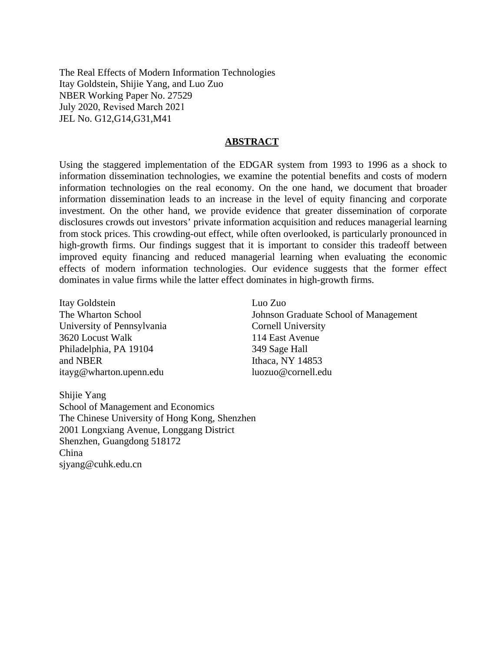The Real Effects of Modern Information Technologies Itay Goldstein, Shijie Yang, and Luo Zuo NBER Working Paper No. 27529 July 2020, Revised March 2021 JEL No. G12,G14,G31,M41

#### **ABSTRACT**

Using the staggered implementation of the EDGAR system from 1993 to 1996 as a shock to information dissemination technologies, we examine the potential benefits and costs of modern information technologies on the real economy. On the one hand, we document that broader information dissemination leads to an increase in the level of equity financing and corporate investment. On the other hand, we provide evidence that greater dissemination of corporate disclosures crowds out investors' private information acquisition and reduces managerial learning from stock prices. This crowding-out effect, while often overlooked, is particularly pronounced in high-growth firms. Our findings suggest that it is important to consider this tradeoff between improved equity financing and reduced managerial learning when evaluating the economic effects of modern information technologies. Our evidence suggests that the former effect dominates in value firms while the latter effect dominates in high-growth firms.

Luo Zuo

Itay Goldstein The Wharton School University of Pennsylvania 3620 Locust Walk Philadelphia, PA 19104 and NBER itayg@wharton.upenn.edu

Johnson Graduate School of Management Cornell University 114 East Avenue 349 Sage Hall Ithaca, NY 14853 luozuo@cornell.edu

Shijie Yang School of Management and Economics The Chinese University of Hong Kong, Shenzhen 2001 Longxiang Avenue, Longgang District Shenzhen, Guangdong 518172 China sjyang@cuhk.edu.cn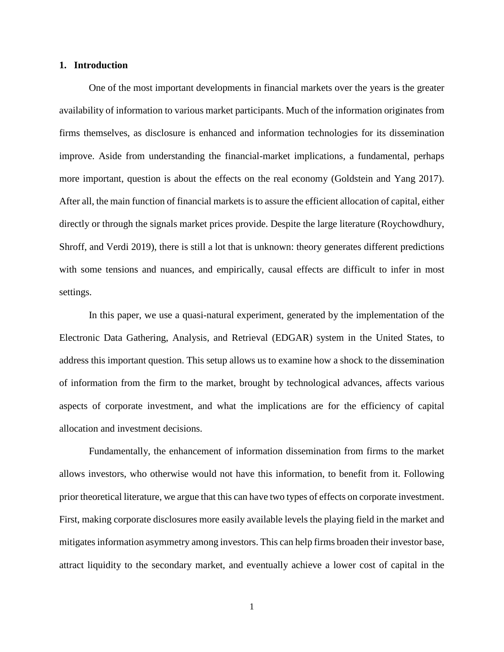#### **1. Introduction**

One of the most important developments in financial markets over the years is the greater availability of information to various market participants. Much of the information originates from firms themselves, as disclosure is enhanced and information technologies for its dissemination improve. Aside from understanding the financial-market implications, a fundamental, perhaps more important, question is about the effects on the real economy (Goldstein and Yang 2017). After all, the main function of financial markets is to assure the efficient allocation of capital, either directly or through the signals market prices provide. Despite the large literature (Roychowdhury, Shroff, and Verdi 2019), there is still a lot that is unknown: theory generates different predictions with some tensions and nuances, and empirically, causal effects are difficult to infer in most settings.

In this paper, we use a quasi-natural experiment, generated by the implementation of the Electronic Data Gathering, Analysis, and Retrieval (EDGAR) system in the United States, to address this important question. This setup allows us to examine how a shock to the dissemination of information from the firm to the market, brought by technological advances, affects various aspects of corporate investment, and what the implications are for the efficiency of capital allocation and investment decisions.

Fundamentally, the enhancement of information dissemination from firms to the market allows investors, who otherwise would not have this information, to benefit from it. Following prior theoretical literature, we argue that this can have two types of effects on corporate investment. First, making corporate disclosures more easily available levels the playing field in the market and mitigates information asymmetry among investors. This can help firms broaden their investor base, attract liquidity to the secondary market, and eventually achieve a lower cost of capital in the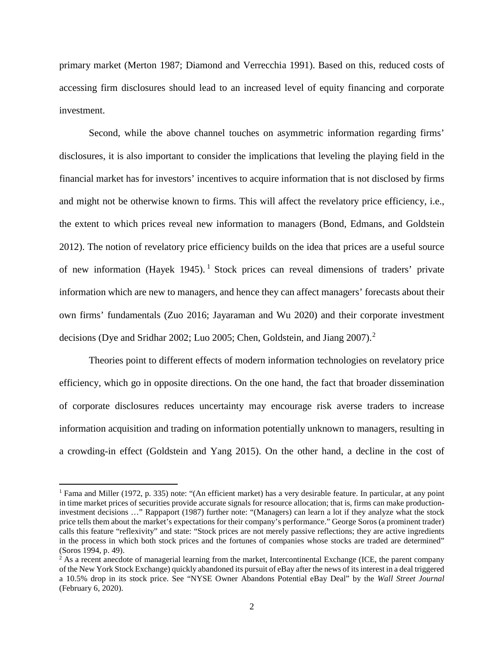primary market (Merton 1987; Diamond and Verrecchia 1991). Based on this, reduced costs of accessing firm disclosures should lead to an increased level of equity financing and corporate investment.

Second, while the above channel touches on asymmetric information regarding firms' disclosures, it is also important to consider the implications that leveling the playing field in the financial market has for investors' incentives to acquire information that is not disclosed by firms and might not be otherwise known to firms. This will affect the revelatory price efficiency, i.e., the extent to which prices reveal new information to managers (Bond, Edmans, and Goldstein 2012). The notion of revelatory price efficiency builds on the idea that prices are a useful source of new information (Hayek [1](#page-3-0)945). <sup>1</sup> Stock prices can reveal dimensions of traders' private information which are new to managers, and hence they can affect managers' forecasts about their own firms' fundamentals (Zuo 2016; Jayaraman and Wu 2020) and their corporate investment decisions (Dye and Sridhar [2](#page-3-1)002; Luo 2005; Chen, Goldstein, and Jiang 2007).<sup>2</sup>

Theories point to different effects of modern information technologies on revelatory price efficiency, which go in opposite directions. On the one hand, the fact that broader dissemination of corporate disclosures reduces uncertainty may encourage risk averse traders to increase information acquisition and trading on information potentially unknown to managers, resulting in a crowding-in effect (Goldstein and Yang 2015). On the other hand, a decline in the cost of

 $\overline{\phantom{a}}$ 

<span id="page-3-0"></span><sup>1</sup> Fama and Miller (1972, p. 335) note: "(An efficient market) has a very desirable feature. In particular, at any point in time market prices of securities provide accurate signals for resource allocation; that is, firms can make productioninvestment decisions …" Rappaport (1987) further note: "(Managers) can learn a lot if they analyze what the stock price tells them about the market's expectations for their company's performance." George Soros (a prominent trader) calls this feature "reflexivity" and state: "Stock prices are not merely passive reflections; they are active ingredients in the process in which both stock prices and the fortunes of companies whose stocks are traded are determined" (Soros 1994, p. 49).

<span id="page-3-1"></span><sup>&</sup>lt;sup>2</sup> As a recent anecdote of managerial learning from the market, Intercontinental Exchange (ICE, the parent company of the New York Stock Exchange) quickly abandoned its pursuit of eBay after the news of its interest in a deal triggered a 10.5% drop in its stock price. See "NYSE Owner Abandons Potential eBay Deal" by the *Wall Street Journal* (February 6, 2020).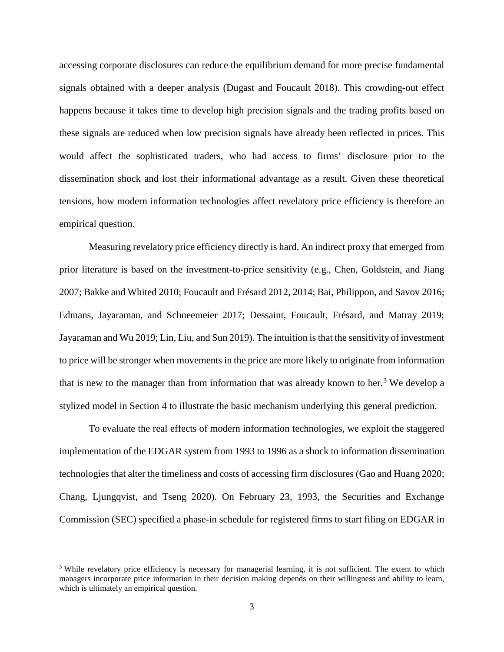accessing corporate disclosures can reduce the equilibrium demand for more precise fundamental signals obtained with a deeper analysis (Dugast and Foucault 2018). This crowding-out effect happens because it takes time to develop high precision signals and the trading profits based on these signals are reduced when low precision signals have already been reflected in prices. This would affect the sophisticated traders, who had access to firms' disclosure prior to the dissemination shock and lost their informational advantage as a result. Given these theoretical tensions, how modern information technologies affect revelatory price efficiency is therefore an empirical question.

Measuring revelatory price efficiency directly is hard. An indirect proxy that emerged from prior literature is based on the investment-to-price sensitivity (e.g., Chen, Goldstein, and Jiang 2007; Bakke and Whited 2010; Foucault and Frésard 2012, 2014; Bai, Philippon, and Savov 2016; Edmans, Jayaraman, and Schneemeier 2017; Dessaint, Foucault, Frésard, and Matray 2019; Jayaraman and Wu 2019; Lin, Liu, and Sun 2019). The intuition is that the sensitivity of investment to price will be stronger when movements in the price are more likely to originate from information that is new to the manager than from information that was already known to her.<sup>[3](#page-4-0)</sup> We develop a stylized model in Section 4 to illustrate the basic mechanism underlying this general prediction.

To evaluate the real effects of modern information technologies, we exploit the staggered implementation of the EDGAR system from 1993 to 1996 as a shock to information dissemination technologies that alter the timeliness and costs of accessing firm disclosures (Gao and Huang 2020; Chang, Ljungqvist, and Tseng 2020). On February 23, 1993, the Securities and Exchange Commission (SEC) specified a phase-in schedule for registered firms to start filing on EDGAR in

<span id="page-4-0"></span><sup>&</sup>lt;sup>3</sup> While revelatory price efficiency is necessary for managerial learning, it is not sufficient. The extent to which managers incorporate price information in their decision making depends on their willingness and ability to learn, which is ultimately an empirical question.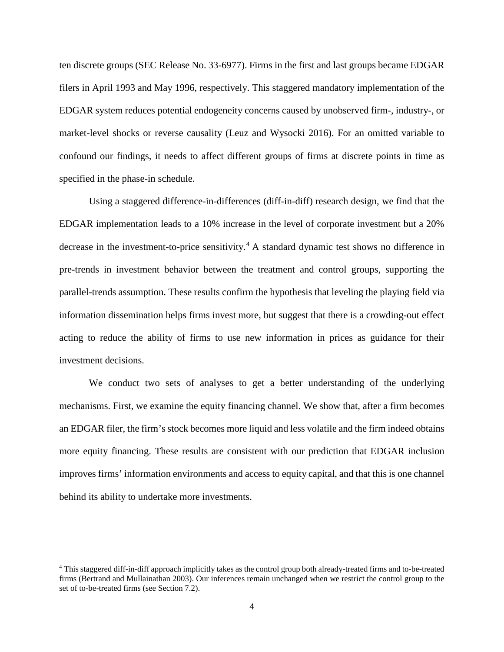ten discrete groups (SEC Release No. 33-6977). Firms in the first and last groups became EDGAR filers in April 1993 and May 1996, respectively. This staggered mandatory implementation of the EDGAR system reduces potential endogeneity concerns caused by unobserved firm-, industry-, or market-level shocks or reverse causality (Leuz and Wysocki 2016). For an omitted variable to confound our findings, it needs to affect different groups of firms at discrete points in time as specified in the phase-in schedule.

Using a staggered difference-in-differences (diff-in-diff) research design, we find that the EDGAR implementation leads to a 10% increase in the level of corporate investment but a 20% decrease in the investment-to-price sensitivity.<sup>[4](#page-5-0)</sup> A standard dynamic test shows no difference in pre-trends in investment behavior between the treatment and control groups, supporting the parallel-trends assumption. These results confirm the hypothesis that leveling the playing field via information dissemination helps firms invest more, but suggest that there is a crowding-out effect acting to reduce the ability of firms to use new information in prices as guidance for their investment decisions.

We conduct two sets of analyses to get a better understanding of the underlying mechanisms. First, we examine the equity financing channel. We show that, after a firm becomes an EDGAR filer, the firm's stock becomes more liquid and less volatile and the firm indeed obtains more equity financing. These results are consistent with our prediction that EDGAR inclusion improves firms' information environments and access to equity capital, and that this is one channel behind its ability to undertake more investments.

<span id="page-5-0"></span><sup>4</sup> This staggered diff-in-diff approach implicitly takes as the control group both already-treated firms and to-be-treated firms (Bertrand and Mullainathan 2003). Our inferences remain unchanged when we restrict the control group to the set of to-be-treated firms (see Section 7.2).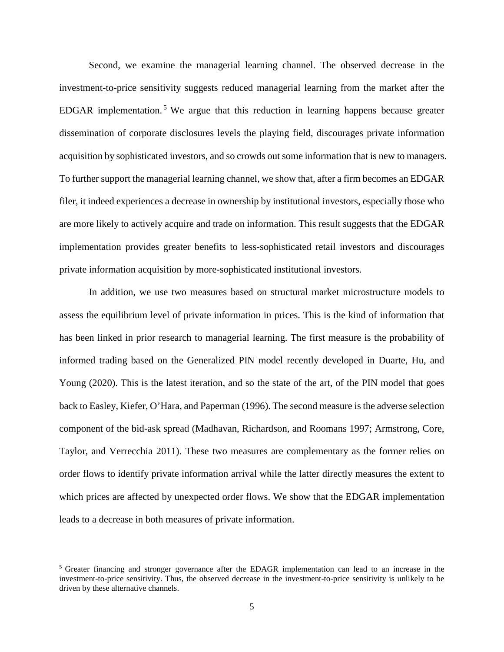Second, we examine the managerial learning channel. The observed decrease in the investment-to-price sensitivity suggests reduced managerial learning from the market after the EDGAR implementation.<sup>[5](#page-6-0)</sup> We argue that this reduction in learning happens because greater dissemination of corporate disclosures levels the playing field, discourages private information acquisition by sophisticated investors, and so crowds out some information that is new to managers. To further support the managerial learning channel, we show that, after a firm becomes an EDGAR filer, it indeed experiences a decrease in ownership by institutional investors, especially those who are more likely to actively acquire and trade on information. This result suggests that the EDGAR implementation provides greater benefits to less-sophisticated retail investors and discourages private information acquisition by more-sophisticated institutional investors.

In addition, we use two measures based on structural market microstructure models to assess the equilibrium level of private information in prices. This is the kind of information that has been linked in prior research to managerial learning. The first measure is the probability of informed trading based on the Generalized PIN model recently developed in Duarte, Hu, and Young (2020). This is the latest iteration, and so the state of the art, of the PIN model that goes back to Easley, Kiefer, O'Hara, and Paperman (1996). The second measure is the adverse selection component of the bid-ask spread (Madhavan, Richardson, and Roomans 1997; Armstrong, Core, Taylor, and Verrecchia 2011). These two measures are complementary as the former relies on order flows to identify private information arrival while the latter directly measures the extent to which prices are affected by unexpected order flows. We show that the EDGAR implementation leads to a decrease in both measures of private information.

<span id="page-6-0"></span><sup>5</sup> Greater financing and stronger governance after the EDAGR implementation can lead to an increase in the investment-to-price sensitivity. Thus, the observed decrease in the investment-to-price sensitivity is unlikely to be driven by these alternative channels.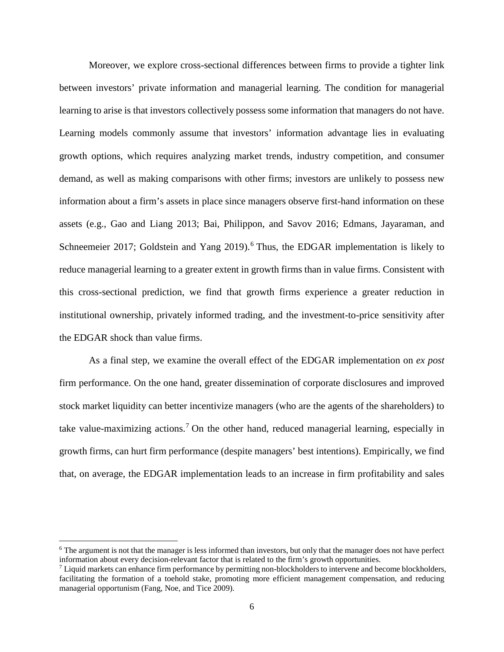Moreover, we explore cross-sectional differences between firms to provide a tighter link between investors' private information and managerial learning. The condition for managerial learning to arise is that investors collectively possess some information that managers do not have. Learning models commonly assume that investors' information advantage lies in evaluating growth options, which requires analyzing market trends, industry competition, and consumer demand, as well as making comparisons with other firms; investors are unlikely to possess new information about a firm's assets in place since managers observe first-hand information on these assets (e.g., Gao and Liang 2013; Bai, Philippon, and Savov 2016; Edmans, Jayaraman, and Schneemeier 2017; Goldstein and Yang 2019).<sup>[6](#page-7-0)</sup> Thus, the EDGAR implementation is likely to reduce managerial learning to a greater extent in growth firms than in value firms. Consistent with this cross-sectional prediction, we find that growth firms experience a greater reduction in institutional ownership, privately informed trading, and the investment-to-price sensitivity after the EDGAR shock than value firms.

As a final step, we examine the overall effect of the EDGAR implementation on *ex post* firm performance. On the one hand, greater dissemination of corporate disclosures and improved stock market liquidity can better incentivize managers (who are the agents of the shareholders) to take value-maximizing actions.<sup>[7](#page-7-1)</sup> On the other hand, reduced managerial learning, especially in growth firms, can hurt firm performance (despite managers' best intentions). Empirically, we find that, on average, the EDGAR implementation leads to an increase in firm profitability and sales

 $\overline{\phantom{a}}$ 

<span id="page-7-0"></span><sup>6</sup> The argument is not that the manager is less informed than investors, but only that the manager does not have perfect information about every decision-relevant factor that is related to the firm's growth opportunities.

<span id="page-7-1"></span> $<sup>7</sup>$  Liquid markets can enhance firm performance by permitting non-blockholders to intervene and become blockholders,</sup> facilitating the formation of a toehold stake, promoting more efficient management compensation, and reducing managerial opportunism (Fang, Noe, and Tice 2009).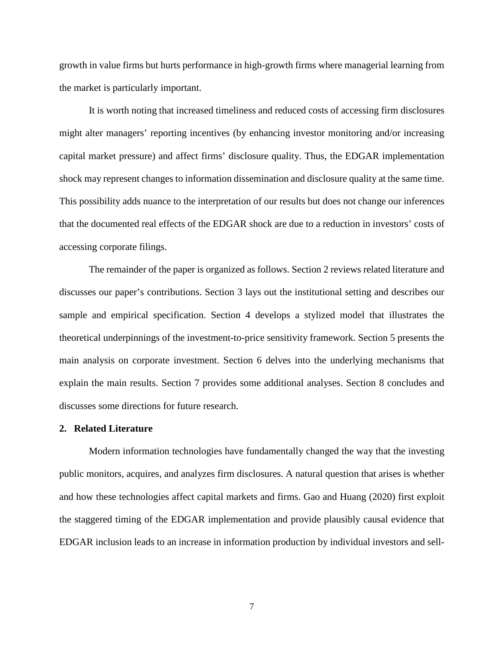growth in value firms but hurts performance in high-growth firms where managerial learning from the market is particularly important.

It is worth noting that increased timeliness and reduced costs of accessing firm disclosures might alter managers' reporting incentives (by enhancing investor monitoring and/or increasing capital market pressure) and affect firms' disclosure quality. Thus, the EDGAR implementation shock may represent changes to information dissemination and disclosure quality at the same time. This possibility adds nuance to the interpretation of our results but does not change our inferences that the documented real effects of the EDGAR shock are due to a reduction in investors' costs of accessing corporate filings.

The remainder of the paper is organized as follows. Section 2 reviews related literature and discusses our paper's contributions. Section 3 lays out the institutional setting and describes our sample and empirical specification. Section 4 develops a stylized model that illustrates the theoretical underpinnings of the investment-to-price sensitivity framework. Section 5 presents the main analysis on corporate investment. Section 6 delves into the underlying mechanisms that explain the main results. Section 7 provides some additional analyses. Section 8 concludes and discusses some directions for future research.

#### **2. Related Literature**

Modern information technologies have fundamentally changed the way that the investing public monitors, acquires, and analyzes firm disclosures. A natural question that arises is whether and how these technologies affect capital markets and firms. Gao and Huang (2020) first exploit the staggered timing of the EDGAR implementation and provide plausibly causal evidence that EDGAR inclusion leads to an increase in information production by individual investors and sell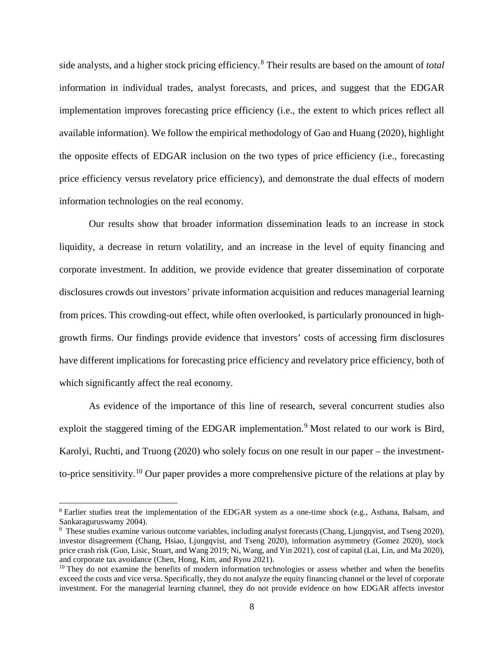side analysts, and a higher stock pricing efficiency.[8](#page-9-0) Their results are based on the amount of *total* information in individual trades, analyst forecasts, and prices, and suggest that the EDGAR implementation improves forecasting price efficiency (i.e., the extent to which prices reflect all available information). We follow the empirical methodology of Gao and Huang (2020), highlight the opposite effects of EDGAR inclusion on the two types of price efficiency (i.e., forecasting price efficiency versus revelatory price efficiency), and demonstrate the dual effects of modern information technologies on the real economy.

Our results show that broader information dissemination leads to an increase in stock liquidity, a decrease in return volatility, and an increase in the level of equity financing and corporate investment. In addition, we provide evidence that greater dissemination of corporate disclosures crowds out investors' private information acquisition and reduces managerial learning from prices. This crowding-out effect, while often overlooked, is particularly pronounced in highgrowth firms. Our findings provide evidence that investors' costs of accessing firm disclosures have different implications for forecasting price efficiency and revelatory price efficiency, both of which significantly affect the real economy.

As evidence of the importance of this line of research, several concurrent studies also exploit the staggered timing of the EDGAR implementation.<sup>[9](#page-9-1)</sup> Most related to our work is Bird, Karolyi, Ruchti, and Truong (2020) who solely focus on one result in our paper – the investmentto-price sensitivity.[10](#page-9-2) Our paper provides a more comprehensive picture of the relations at play by

<span id="page-9-0"></span><sup>&</sup>lt;sup>8</sup> Earlier studies treat the implementation of the EDGAR system as a one-time shock (e.g., Asthana, Balsam, and Sankaraguruswamy 2004).

<span id="page-9-1"></span><sup>&</sup>lt;sup>9</sup> These studies examine various outcome variables, including analyst forecasts (Chang, Ljungqvist, and Tseng 2020), investor disagreement (Chang, Hsiao, Ljungqvist, and Tseng 2020), information asymmetry (Gomez 2020), stock price crash risk (Guo, Lisic, Stuart, and Wang 2019; Ni, Wang, and Yin 2021), cost of capital (Lai, Lin, and Ma 2020), and corporate tax avoidance (Chen, Hong, Kim, and Ryou 2021).

<span id="page-9-2"></span><sup>&</sup>lt;sup>10</sup> They do not examine the benefits of modern information technologies or assess whether and when the benefits exceed the costs and vice versa. Specifically, they do not analyze the equity financing channel or the level of corporate investment. For the managerial learning channel, they do not provide evidence on how EDGAR affects investor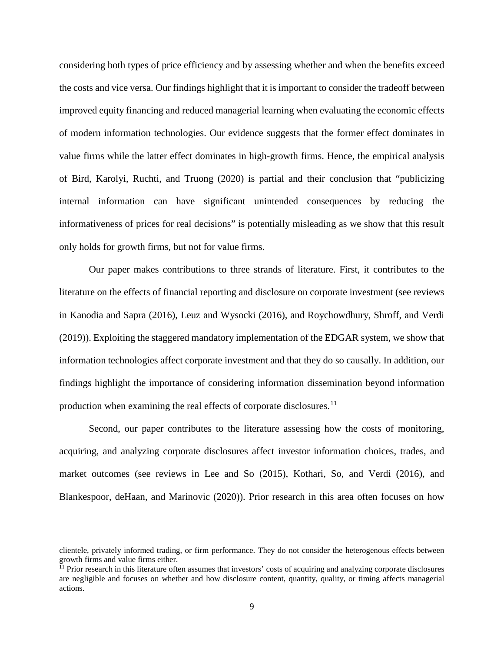considering both types of price efficiency and by assessing whether and when the benefits exceed the costs and vice versa. Our findings highlight that it is important to consider the tradeoff between improved equity financing and reduced managerial learning when evaluating the economic effects of modern information technologies. Our evidence suggests that the former effect dominates in value firms while the latter effect dominates in high-growth firms. Hence, the empirical analysis of Bird, Karolyi, Ruchti, and Truong (2020) is partial and their conclusion that "publicizing internal information can have significant unintended consequences by reducing the informativeness of prices for real decisions" is potentially misleading as we show that this result only holds for growth firms, but not for value firms.

Our paper makes contributions to three strands of literature. First, it contributes to the literature on the effects of financial reporting and disclosure on corporate investment (see reviews in Kanodia and Sapra (2016), Leuz and Wysocki (2016), and Roychowdhury, Shroff, and Verdi (2019)). Exploiting the staggered mandatory implementation of the EDGAR system, we show that information technologies affect corporate investment and that they do so causally. In addition, our findings highlight the importance of considering information dissemination beyond information production when examining the real effects of corporate disclosures.<sup>11</sup>

Second, our paper contributes to the literature assessing how the costs of monitoring, acquiring, and analyzing corporate disclosures affect investor information choices, trades, and market outcomes (see reviews in Lee and So (2015), Kothari, So, and Verdi (2016), and Blankespoor, deHaan, and Marinovic (2020)). Prior research in this area often focuses on how

 $\overline{\phantom{a}}$ 

clientele, privately informed trading, or firm performance. They do not consider the heterogenous effects between growth firms and value firms either.

<span id="page-10-0"></span><sup>&</sup>lt;sup>11</sup> Prior research in this literature often assumes that investors' costs of acquiring and analyzing corporate disclosures are negligible and focuses on whether and how disclosure content, quantity, quality, or timing affects managerial actions.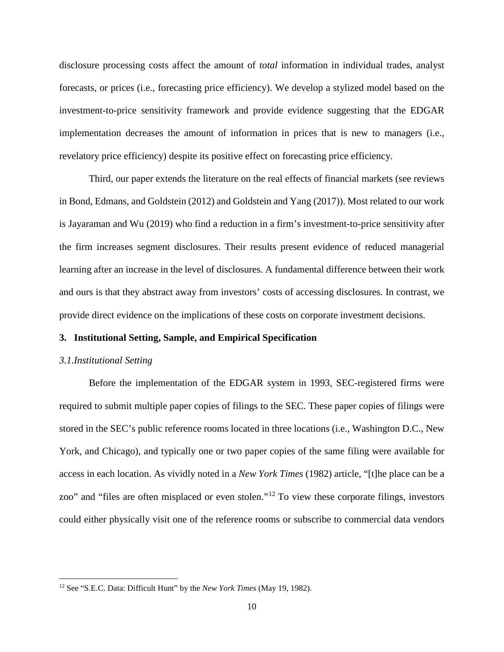disclosure processing costs affect the amount of *total* information in individual trades, analyst forecasts, or prices (i.e., forecasting price efficiency). We develop a stylized model based on the investment-to-price sensitivity framework and provide evidence suggesting that the EDGAR implementation decreases the amount of information in prices that is new to managers (i.e., revelatory price efficiency) despite its positive effect on forecasting price efficiency.

Third, our paper extends the literature on the real effects of financial markets (see reviews in Bond, Edmans, and Goldstein (2012) and Goldstein and Yang (2017)). Most related to our work is Jayaraman and Wu (2019) who find a reduction in a firm's investment-to-price sensitivity after the firm increases segment disclosures. Their results present evidence of reduced managerial learning after an increase in the level of disclosures. A fundamental difference between their work and ours is that they abstract away from investors' costs of accessing disclosures. In contrast, we provide direct evidence on the implications of these costs on corporate investment decisions.

#### **3. Institutional Setting, Sample, and Empirical Specification**

## *3.1.Institutional Setting*

l

Before the implementation of the EDGAR system in 1993, SEC-registered firms were required to submit multiple paper copies of filings to the SEC. These paper copies of filings were stored in the SEC's public reference rooms located in three locations (i.e., Washington D.C., New York, and Chicago), and typically one or two paper copies of the same filing were available for access in each location. As vividly noted in a *New York Times* (1982) article, "[t]he place can be a zoo" and "files are often misplaced or even stolen."[12](#page-11-0) To view these corporate filings, investors could either physically visit one of the reference rooms or subscribe to commercial data vendors

<span id="page-11-0"></span><sup>12</sup> See "S.E.C. Data: Difficult Hunt" by the *New York Times* (May 19, 1982).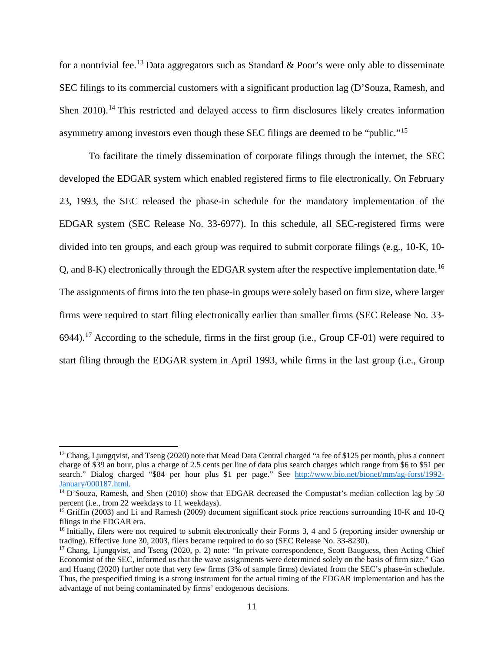for a nontrivial fee.<sup>[13](#page-12-0)</sup> Data aggregators such as Standard & Poor's were only able to disseminate SEC filings to its commercial customers with a significant production lag (D'Souza, Ramesh, and Shen 2010).<sup>[14](#page-12-1)</sup> This restricted and delayed access to firm disclosures likely creates information asymmetry among investors even though these SEC filings are deemed to be "public."[15](#page-12-2)

To facilitate the timely dissemination of corporate filings through the internet, the SEC developed the EDGAR system which enabled registered firms to file electronically. On February 23, 1993, the SEC released the phase-in schedule for the mandatory implementation of the EDGAR system (SEC Release No. 33-6977). In this schedule, all SEC-registered firms were divided into ten groups, and each group was required to submit corporate filings (e.g., 10-K, 10- Q, and 8-K) electronically through the EDGAR system after the respective implementation date.[16](#page-12-3) The assignments of firms into the ten phase-in groups were solely based on firm size, where larger firms were required to start filing electronically earlier than smaller firms (SEC Release No. 33- 6944).<sup>[17](#page-12-4)</sup> According to the schedule, firms in the first group (i.e., Group CF-01) were required to start filing through the EDGAR system in April 1993, while firms in the last group (i.e., Group

<span id="page-12-0"></span><sup>&</sup>lt;sup>13</sup> Chang, Ljungqvist, and Tseng (2020) note that Mead Data Central charged "a fee of \$125 per month, plus a connect charge of \$39 an hour, plus a charge of 2.5 cents per line of data plus search charges which range from \$6 to \$51 per search." Dialog charged "\$84 per hour plus \$1 per page." See [http://www.bio.net/bionet/mm/ag-forst/1992-](http://www.bio.net/bionet/mm/ag-forst/1992-January/000187.html)<br>January/000187.html.

<span id="page-12-1"></span><sup>&</sup>lt;sup>14</sup> D'Souza, Ramesh, and Shen (2010) show that EDGAR decreased the Compustat's median collection lag by 50 percent (i.e., from 22 weekdays to 11 weekdays).

<span id="page-12-2"></span><sup>&</sup>lt;sup>15</sup> Griffin (2003) and Li and Ramesh (2009) document significant stock price reactions surrounding 10-K and 10-Q filings in the EDGAR era.

<span id="page-12-3"></span><sup>&</sup>lt;sup>16</sup> Initially, filers were not required to submit electronically their Forms 3, 4 and 5 (reporting insider ownership or trading). Effective June 30, 2003, filers became required to do so (SEC Release No. 33-8230).

<span id="page-12-4"></span><sup>&</sup>lt;sup>17</sup> Chang, Ljungqvist, and Tseng (2020, p. 2) note: "In private correspondence, Scott Bauguess, then Acting Chief Economist of the SEC, informed us that the wave assignments were determined solely on the basis of firm size." Gao and Huang (2020) further note that very few firms (3% of sample firms) deviated from the SEC's phase-in schedule. Thus, the prespecified timing is a strong instrument for the actual timing of the EDGAR implementation and has the advantage of not being contaminated by firms' endogenous decisions.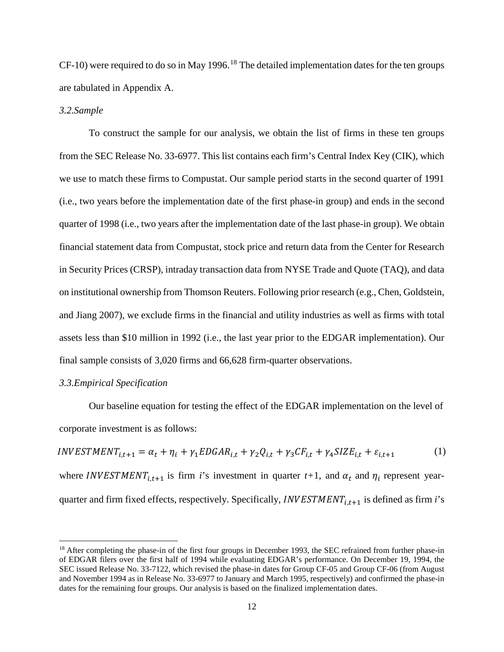$CF-10$ ) were required to do so in May 1996.<sup>[18](#page-13-0)</sup> The detailed implementation dates for the ten groups are tabulated in Appendix A.

## *3.2.Sample*

To construct the sample for our analysis, we obtain the list of firms in these ten groups from the SEC Release No. 33-6977. This list contains each firm's Central Index Key (CIK), which we use to match these firms to Compustat. Our sample period starts in the second quarter of 1991 (i.e., two years before the implementation date of the first phase-in group) and ends in the second quarter of 1998 (i.e., two years after the implementation date of the last phase-in group). We obtain financial statement data from Compustat, stock price and return data from the Center for Research in Security Prices (CRSP), intraday transaction data from NYSE Trade and Quote (TAQ), and data on institutional ownership from Thomson Reuters. Following prior research (e.g., Chen, Goldstein, and Jiang 2007), we exclude firms in the financial and utility industries as well as firms with total assets less than \$10 million in 1992 (i.e., the last year prior to the EDGAR implementation). Our final sample consists of 3,020 firms and 66,628 firm-quarter observations.

## *3.3.Empirical Specification*

 $\overline{\phantom{a}}$ 

Our baseline equation for testing the effect of the EDGAR implementation on the level of corporate investment is as follows:

$$
INVESTMENT_{i,t+1} = \alpha_t + \eta_i + \gamma_1 EDGAR_{i,t} + \gamma_2 Q_{i,t} + \gamma_3 CF_{i,t} + \gamma_4 SIZE_{i,t} + \varepsilon_{i,t+1}
$$
 (1)

where *INVESTMENT*<sub>*i*, $t+1$ </sub> is firm *i*'s investment in quarter  $t+1$ , and  $\alpha_t$  and  $\eta_i$  represent yearquarter and firm fixed effects, respectively. Specifically,  $INVESTMENT_{i,t+1}$  is defined as firm *i*'s

<span id="page-13-0"></span><sup>&</sup>lt;sup>18</sup> After completing the phase-in of the first four groups in December 1993, the SEC refrained from further phase-in of EDGAR filers over the first half of 1994 while evaluating EDGAR's performance. On December 19, 1994, the SEC issued Release No. 33-7122, which revised the phase-in dates for Group CF-05 and Group CF-06 (from August and November 1994 as in Release No. 33-6977 to January and March 1995, respectively) and confirmed the phase-in dates for the remaining four groups. Our analysis is based on the finalized implementation dates.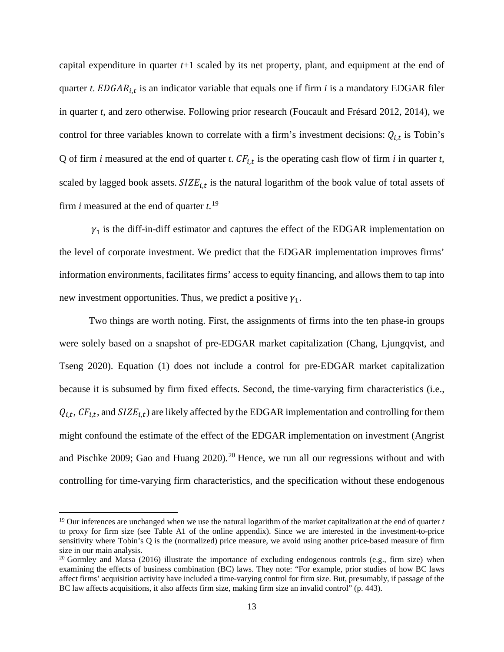capital expenditure in quarter *t*+1 scaled by its net property, plant, and equipment at the end of quarter *t*.  $EDGAR_{i,t}$  is an indicator variable that equals one if firm *i* is a mandatory EDGAR filer in quarter *t*, and zero otherwise. Following prior research (Foucault and Frésard 2012, 2014), we control for three variables known to correlate with a firm's investment decisions:  $Q_{i,t}$  is Tobin's Q of firm *i* measured at the end of quarter *t*.  $CF_{i,t}$  is the operating cash flow of firm *i* in quarter *t*, scaled by lagged book assets.  $SIZE_{i,t}$  is the natural logarithm of the book value of total assets of firm *i* measured at the end of quarter *t*. [19](#page-14-0)

 $\gamma_1$  is the diff-in-diff estimator and captures the effect of the EDGAR implementation on the level of corporate investment. We predict that the EDGAR implementation improves firms' information environments, facilitates firms' access to equity financing, and allows them to tap into new investment opportunities. Thus, we predict a positive  $\gamma_1$ .

Two things are worth noting. First, the assignments of firms into the ten phase-in groups were solely based on a snapshot of pre-EDGAR market capitalization (Chang, Ljungqvist, and Tseng 2020). Equation (1) does not include a control for pre-EDGAR market capitalization because it is subsumed by firm fixed effects. Second, the time-varying firm characteristics (i.e.,  $Q_{i,t}$ ,  $CF_{i,t}$ , and  $SIZE_{i,t}$ ) are likely affected by the EDGAR implementation and controlling for them might confound the estimate of the effect of the EDGAR implementation on investment (Angrist and Pischke [20](#page-14-1)09; Gao and Huang 2020).<sup>20</sup> Hence, we run all our regressions without and with controlling for time-varying firm characteristics, and the specification without these endogenous

<span id="page-14-0"></span><sup>19</sup> Our inferences are unchanged when we use the natural logarithm of the market capitalization at the end of quarter *t* to proxy for firm size (see Table A1 of the online appendix). Since we are interested in the investment-to-price sensitivity where Tobin's Q is the (normalized) price measure, we avoid using another price-based measure of firm size in our main analysis.

<span id="page-14-1"></span><sup>&</sup>lt;sup>20</sup> Gormley and Matsa (2016) illustrate the importance of excluding endogenous controls (e.g., firm size) when examining the effects of business combination (BC) laws. They note: "For example, prior studies of how BC laws affect firms' acquisition activity have included a time-varying control for firm size. But, presumably, if passage of the BC law affects acquisitions, it also affects firm size, making firm size an invalid control" (p. 443).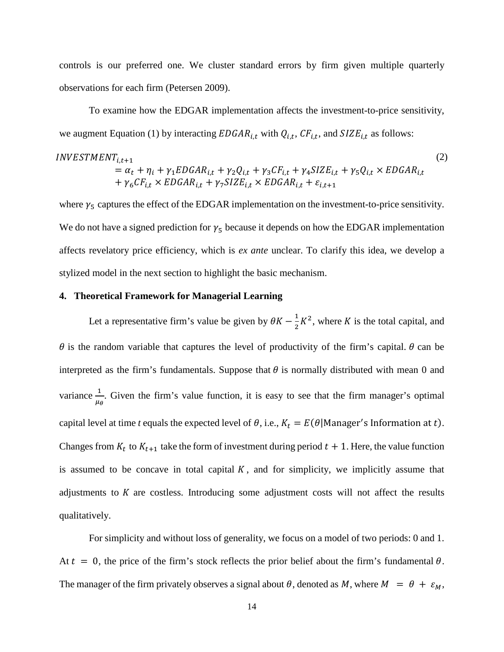controls is our preferred one. We cluster standard errors by firm given multiple quarterly observations for each firm (Petersen 2009).

To examine how the EDGAR implementation affects the investment-to-price sensitivity, we augment Equation (1) by interacting  $EDGAR_{i,t}$  with  $Q_{i,t}$ ,  $CF_{i,t}$ , and  $SIZE_{i,t}$  as follows:

$$
INVESTMENT_{i,t+1}
$$
  
=  $\alpha_t + \eta_i + \gamma_1 EDGAR_{i,t} + \gamma_2 Q_{i,t} + \gamma_3 CF_{i,t} + \gamma_4 SIZE_{i,t} + \gamma_5 Q_{i,t} \times EDGAR_{i,t} + \gamma_6 CF_{i,t} \times EDGAR_{i,t} + \gamma_7 SIZE_{i,t} \times EDGAR_{i,t} + \varepsilon_{i,t+1}$  (2)

where  $\gamma_5$  captures the effect of the EDGAR implementation on the investment-to-price sensitivity. We do not have a signed prediction for  $\gamma_5$  because it depends on how the EDGAR implementation affects revelatory price efficiency, which is *ex ante* unclear. To clarify this idea, we develop a stylized model in the next section to highlight the basic mechanism.

## **4. Theoretical Framework for Managerial Learning**

Let a representative firm's value be given by  $\theta K - \frac{1}{2}K^2$ , where K is the total capital, and  $\theta$  is the random variable that captures the level of productivity of the firm's capital.  $\theta$  can be interpreted as the firm's fundamentals. Suppose that  $\theta$  is normally distributed with mean 0 and variance  $\frac{1}{n}$  $\mu_{\theta}$ . Given the firm's value function, it is easy to see that the firm manager's optimal capital level at time *t* equals the expected level of  $\theta$ , i.e.,  $K_t = E(\theta | \text{Manager's Information at } t)$ . Changes from  $K_t$  to  $K_{t+1}$  take the form of investment during period  $t + 1$ . Here, the value function is assumed to be concave in total capital  $K$ , and for simplicity, we implicitly assume that adjustments to  $K$  are costless. Introducing some adjustment costs will not affect the results qualitatively.

For simplicity and without loss of generality, we focus on a model of two periods: 0 and 1. At  $t = 0$ , the price of the firm's stock reflects the prior belief about the firm's fundamental  $\theta$ . The manager of the firm privately observes a signal about  $\theta$ , denoted as M, where  $M = \theta + \varepsilon_M$ ,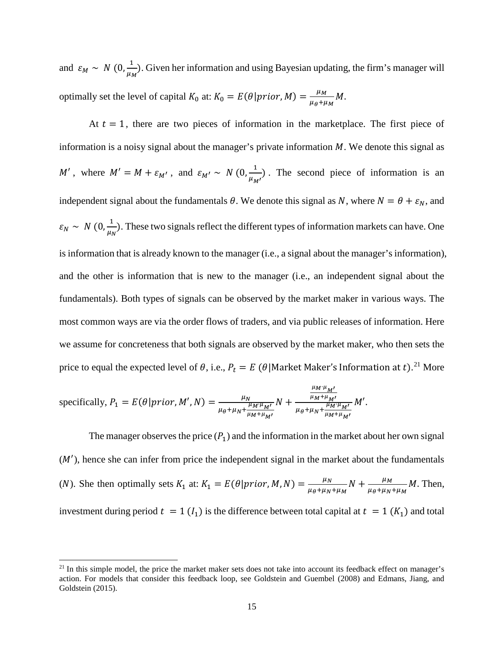and  $\varepsilon_M \sim N(0, \frac{1}{\mu_M})$ . Given her information and using Bayesian updating, the firm's manager will optimally set the level of capital  $K_0$  at:  $K_0 = E(\theta | prior, M) = \frac{\mu_M}{\mu_{\theta} + \mu_M} M$ .

At  $t = 1$ , there are two pieces of information in the marketplace. The first piece of information is a noisy signal about the manager's private information  $M$ . We denote this signal as ', where  $M' = M + \varepsilon_{M'}$ , and  $\varepsilon_{M'} \sim N(0, \frac{1}{\mu_{M'}})$ . The second piece of information is an independent signal about the fundamentals  $\theta$ . We denote this signal as N, where  $N = \theta + \varepsilon_N$ , and  $\varepsilon_N \sim N(0, \frac{1}{\mu_N})$ . These two signals reflect the different types of information markets can have. One is information that is already known to the manager (i.e., a signal about the manager's information), and the other is information that is new to the manager (i.e., an independent signal about the fundamentals). Both types of signals can be observed by the market maker in various ways. The most common ways are via the order flows of traders, and via public releases of information. Here we assume for concreteness that both signals are observed by the market maker, who then sets the price to equal the expected level of  $\theta$ , i.e.,  $P_t = E(\theta | \text{Market Master's Information at } t).^{21} \text{ More}$  $P_t = E(\theta | \text{Market Master's Information at } t).^{21} \text{ More}$  $P_t = E(\theta | \text{Market Master's Information at } t).^{21} \text{ More}$ 

specifically, 
$$
P_1 = E(\theta | prior, M', N) = \frac{\mu_N}{\mu_{\theta} + \mu_N + \frac{\mu_M \mu_{M'}}{\mu_M + \mu_M'}} N + \frac{\frac{\mu_M \mu_{M'}}{\mu_M + \mu_{M'}}}{\mu_{\theta} + \mu_N + \frac{\mu_M \mu_{M'}}{\mu_M + \mu_{M'}}} M'.
$$

l

The manager observes the price  $(P_1)$  and the information in the market about her own signal  $(M')$ , hence she can infer from price the independent signal in the market about the fundamentals (*N*). She then optimally sets  $K_1$  at:  $K_1 = E(\theta | prior, M, N) = \frac{\mu_N}{\mu_{\theta} + \mu_N + \mu_M} N + \frac{\mu_M}{\mu_{\theta} + \mu_N + \mu_M} M$ . Then, investment during period  $t = 1$  ( $I_1$ ) is the difference between total capital at  $t = 1$  ( $K_1$ ) and total

<span id="page-16-0"></span> $21$  In this simple model, the price the market maker sets does not take into account its feedback effect on manager's action. For models that consider this feedback loop, see Goldstein and Guembel (2008) and Edmans, Jiang, and Goldstein (2015).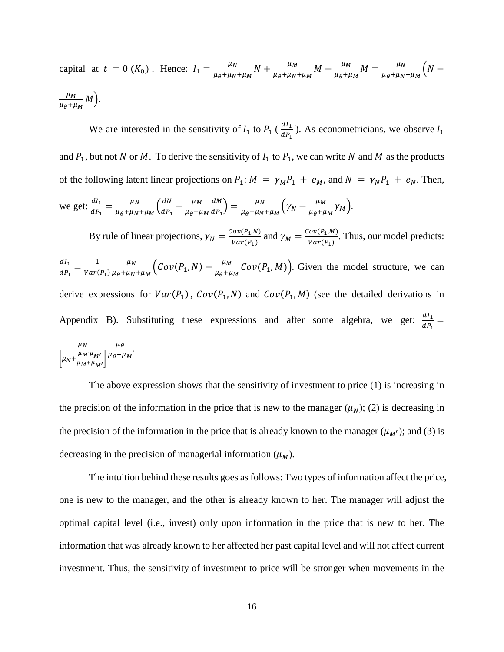capital at  $t = 0$  ( $K_0$ ). Hence:  $I_1 = \frac{\mu_N}{\mu_\theta + \mu_N + \mu_M} N + \frac{\mu_M}{\mu_\theta + \mu_N + \mu_M} M - \frac{\mu_M}{\mu_\theta + \mu_M} M = \frac{\mu_N}{\mu_\theta + \mu_N + \mu_M} \left( N - \frac{\mu_M}{\mu_\theta + \mu_M + \mu_M} M \right)$  $\mu_M$  $\frac{1}{\mu_{\theta}+\mu_{M}}M$  ).

We are interested in the sensitivity of  $I_1$  to  $P_1$  ( $\frac{dI_1}{dP_1}$ ). As econometricians, we observe  $I_1$ and  $P_1$ , but not N or M. To derive the sensitivity of  $I_1$  to  $P_1$ , we can write N and M as the products of the following latent linear projections on  $P_1: M = \gamma_M P_1 + e_M$ , and  $N = \gamma_N P_1 + e_N$ . Then, we get:  $\frac{dI_1}{dR}$  $\frac{dI_1}{dP_1} = \frac{\mu_N}{\mu_{\theta} + \mu_N + \mu_M} \left( \frac{dN}{dP_1} - \frac{\mu_M}{\mu_{\theta} + \mu_M} \right)$  $\overline{a}$  $\frac{dM}{dP_1}$  =  $\frac{\mu_N}{\mu_{\theta} + \mu_N + \mu_M} \left( \gamma_N - \frac{\mu_M}{\mu_{\theta} + \mu_M} \gamma_M \right).$ By rule of linear projections,  $\gamma_N = \frac{Cov(P_1, N)}{Var(P_1)}$  and  $\gamma_M = \frac{Cov(P_1, M)}{Var(P_1)}$ . Thus, our model predicts:  $dl_1$  $\frac{dI_1}{dP_1} = \frac{1}{Var(P_1)}$  $\mu_N$  $\frac{\mu_N}{\mu_{\theta} + \mu_N + \mu_M} \Big( \text{Cov}(P_1, N) - \frac{\mu_M}{\mu_{\theta} + \mu_M} \text{Cov}(P_1, M) \Big)$ . Given the model structure, we can derive expressions for  $Var(P_1)$ ,  $Cov(P_1, N)$  and  $Cov(P_1, M)$  (see the detailed derivations in Appendix B). Substituting these expressions and after some algebra, we get:  $\frac{dI_1}{dR}$  $\frac{1}{dP_1} =$ 

$$
\frac{\mu_N}{\left[\mu_N + \frac{\mu_M \cdot \mu_{M'}}{\mu_M + \mu_{M'}}\right]} \frac{\mu_\theta}{\mu_\theta + \mu_M}.
$$

The above expression shows that the sensitivity of investment to price (1) is increasing in the precision of the information in the price that is new to the manager  $(\mu_N)$ ; (2) is decreasing in the precision of the information in the price that is already known to the manager  $(\mu_{M'})$ ; and (3) is decreasing in the precision of managerial information  $(\mu_M)$ .

The intuition behind these results goes as follows: Two types of information affect the price, one is new to the manager, and the other is already known to her. The manager will adjust the optimal capital level (i.e., invest) only upon information in the price that is new to her. The information that was already known to her affected her past capital level and will not affect current investment. Thus, the sensitivity of investment to price will be stronger when movements in the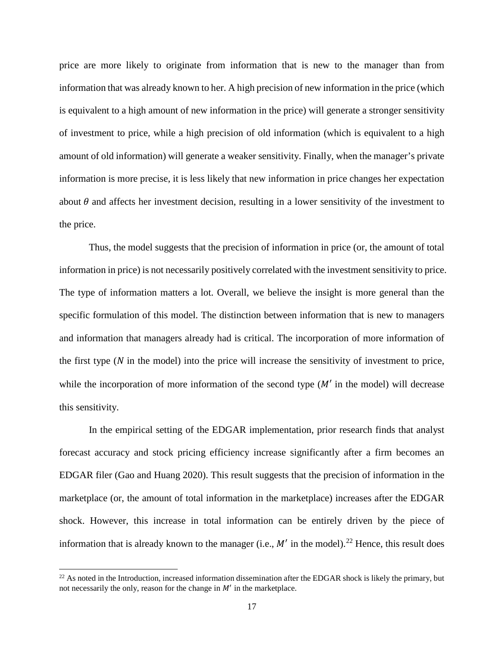price are more likely to originate from information that is new to the manager than from information that was already known to her. A high precision of new information in the price (which is equivalent to a high amount of new information in the price) will generate a stronger sensitivity of investment to price, while a high precision of old information (which is equivalent to a high amount of old information) will generate a weaker sensitivity. Finally, when the manager's private information is more precise, it is less likely that new information in price changes her expectation about  $\theta$  and affects her investment decision, resulting in a lower sensitivity of the investment to the price.

Thus, the model suggests that the precision of information in price (or, the amount of total information in price) is not necessarily positively correlated with the investment sensitivity to price. The type of information matters a lot. Overall, we believe the insight is more general than the specific formulation of this model. The distinction between information that is new to managers and information that managers already had is critical. The incorporation of more information of the first type  $(N$  in the model) into the price will increase the sensitivity of investment to price, while the incorporation of more information of the second type  $(M'$  in the model) will decrease this sensitivity.

In the empirical setting of the EDGAR implementation, prior research finds that analyst forecast accuracy and stock pricing efficiency increase significantly after a firm becomes an EDGAR filer (Gao and Huang 2020). This result suggests that the precision of information in the marketplace (or, the amount of total information in the marketplace) increases after the EDGAR shock. However, this increase in total information can be entirely driven by the piece of information that is already known to the manager (i.e.,  $M'$  in the model).<sup>[22](#page-18-0)</sup> Hence, this result does

 $\overline{a}$ 

<span id="page-18-0"></span> $22$  As noted in the Introduction, increased information dissemination after the EDGAR shock is likely the primary, but not necessarily the only, reason for the change in  $M'$  in the marketplace.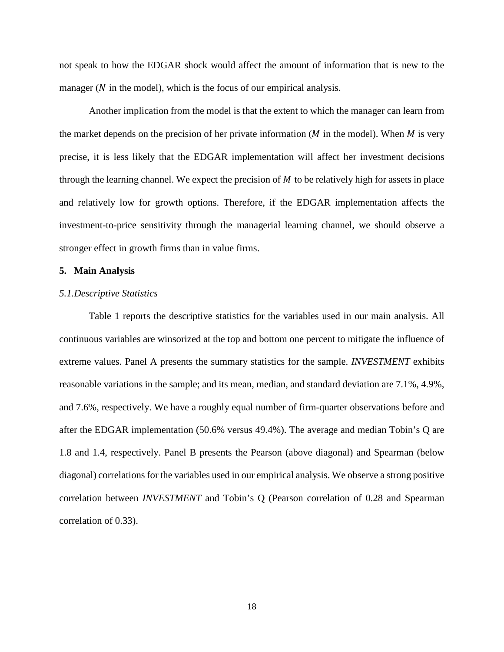not speak to how the EDGAR shock would affect the amount of information that is new to the manager  $(N$  in the model), which is the focus of our empirical analysis.

Another implication from the model is that the extent to which the manager can learn from the market depends on the precision of her private information ( $M$  in the model). When  $M$  is very precise, it is less likely that the EDGAR implementation will affect her investment decisions through the learning channel. We expect the precision of  $M$  to be relatively high for assets in place and relatively low for growth options. Therefore, if the EDGAR implementation affects the investment-to-price sensitivity through the managerial learning channel, we should observe a stronger effect in growth firms than in value firms.

#### **5. Main Analysis**

## *5.1.Descriptive Statistics*

Table 1 reports the descriptive statistics for the variables used in our main analysis. All continuous variables are winsorized at the top and bottom one percent to mitigate the influence of extreme values. Panel A presents the summary statistics for the sample. *INVESTMENT* exhibits reasonable variations in the sample; and its mean, median, and standard deviation are 7.1%, 4.9%, and 7.6%, respectively. We have a roughly equal number of firm-quarter observations before and after the EDGAR implementation (50.6% versus 49.4%). The average and median Tobin's Q are 1.8 and 1.4, respectively. Panel B presents the Pearson (above diagonal) and Spearman (below diagonal) correlations for the variables used in our empirical analysis. We observe a strong positive correlation between *INVESTMENT* and Tobin's Q (Pearson correlation of 0.28 and Spearman correlation of 0.33).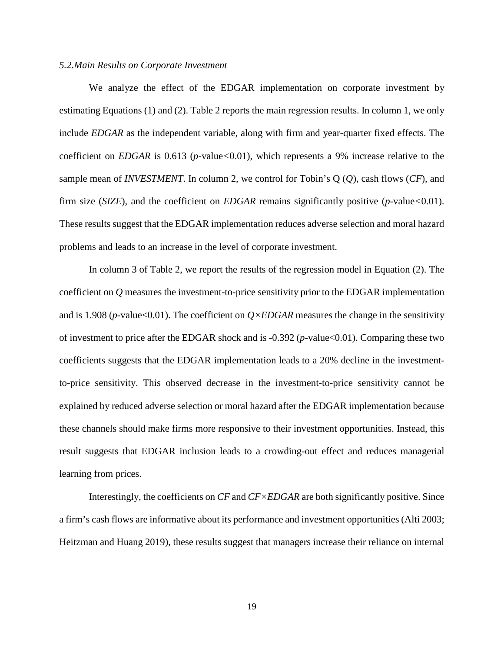#### *5.2.Main Results on Corporate Investment*

We analyze the effect of the EDGAR implementation on corporate investment by estimating Equations (1) and (2). Table 2 reports the main regression results. In column 1, we only include *EDGAR* as the independent variable, along with firm and year-quarter fixed effects. The coefficient on *EDGAR* is 0.613 (*p*-value*<*0.01), which represents a 9% increase relative to the sample mean of *INVESTMENT*. In column 2, we control for Tobin's Q (*Q*), cash flows (*CF*), and firm size (*SIZE*), and the coefficient on *EDGAR* remains significantly positive (*p*-value*<*0.01). These results suggest that the EDGAR implementation reduces adverse selection and moral hazard problems and leads to an increase in the level of corporate investment.

In column 3 of Table 2, we report the results of the regression model in Equation (2). The coefficient on *Q* measures the investment-to-price sensitivity prior to the EDGAR implementation and is 1.908 (*p*-value<0.01). The coefficient on  $Q \times EDGAR$  measures the change in the sensitivity of investment to price after the EDGAR shock and is -0.392 (*p*-value<0.01). Comparing these two coefficients suggests that the EDGAR implementation leads to a 20% decline in the investmentto-price sensitivity. This observed decrease in the investment-to-price sensitivity cannot be explained by reduced adverse selection or moral hazard after the EDGAR implementation because these channels should make firms more responsive to their investment opportunities. Instead, this result suggests that EDGAR inclusion leads to a crowding-out effect and reduces managerial learning from prices.

Interestingly, the coefficients on *CF* and *CF×EDGAR* are both significantly positive. Since a firm's cash flows are informative about its performance and investment opportunities (Alti 2003; Heitzman and Huang 2019), these results suggest that managers increase their reliance on internal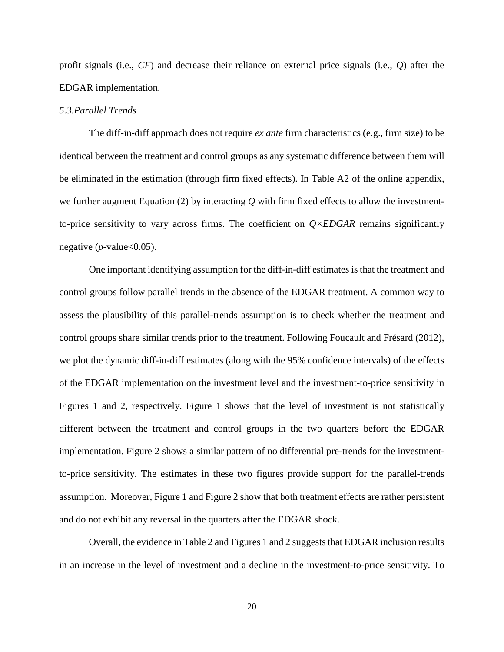profit signals (i.e., *CF*) and decrease their reliance on external price signals (i.e., *Q*) after the EDGAR implementation.

## *5.3.Parallel Trends*

The diff-in-diff approach does not require *ex ante* firm characteristics (e.g., firm size) to be identical between the treatment and control groups as any systematic difference between them will be eliminated in the estimation (through firm fixed effects). In Table A2 of the online appendix, we further augment Equation (2) by interacting *Q* with firm fixed effects to allow the investmentto-price sensitivity to vary across firms. The coefficient on  $Q \times EDGAR$  remains significantly negative  $(p$ -value  $< 0.05$ ).

One important identifying assumption for the diff-in-diff estimates is that the treatment and control groups follow parallel trends in the absence of the EDGAR treatment. A common way to assess the plausibility of this parallel-trends assumption is to check whether the treatment and control groups share similar trends prior to the treatment. Following Foucault and Frésard (2012), we plot the dynamic diff-in-diff estimates (along with the 95% confidence intervals) of the effects of the EDGAR implementation on the investment level and the investment-to-price sensitivity in Figures 1 and 2, respectively. Figure 1 shows that the level of investment is not statistically different between the treatment and control groups in the two quarters before the EDGAR implementation. Figure 2 shows a similar pattern of no differential pre-trends for the investmentto-price sensitivity. The estimates in these two figures provide support for the parallel-trends assumption. Moreover, Figure 1 and Figure 2 show that both treatment effects are rather persistent and do not exhibit any reversal in the quarters after the EDGAR shock.

Overall, the evidence in Table 2 and Figures 1 and 2 suggests that EDGAR inclusion results in an increase in the level of investment and a decline in the investment-to-price sensitivity. To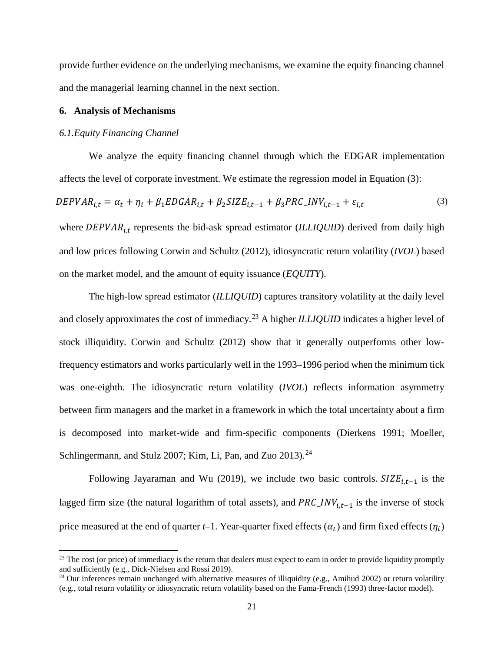provide further evidence on the underlying mechanisms, we examine the equity financing channel and the managerial learning channel in the next section.

## **6. Analysis of Mechanisms**

## *6.1.Equity Financing Channel*

l

We analyze the equity financing channel through which the EDGAR implementation affects the level of corporate investment. We estimate the regression model in Equation (3):  $DEPVAR_{i,t} = \alpha_t + \eta_i + \beta_1 EDGAR_{i,t} + \beta_2 SIZE_{i,t-1} + \beta_3 PRC\_INV_{i,t-1} + \varepsilon_{i,t}$  (3) where DEPVAR<sub>it</sub> represents the bid-ask spread estimator (*ILLIQUID*) derived from daily high and low prices following Corwin and Schultz (2012), idiosyncratic return volatility (*IVOL*) based on the market model, and the amount of equity issuance (*EQUITY*).

The high-low spread estimator (*ILLIQUID*) captures transitory volatility at the daily level and closely approximates the cost of immediacy.<sup>[23](#page-22-0)</sup> A higher *ILLIQUID* indicates a higher level of stock illiquidity. Corwin and Schultz (2012) show that it generally outperforms other lowfrequency estimators and works particularly well in the 1993–1996 period when the minimum tick was one-eighth. The idiosyncratic return volatility (*IVOL*) reflects information asymmetry between firm managers and the market in a framework in which the total uncertainty about a firm is decomposed into market-wide and firm-specific components (Dierkens 1991; Moeller, Schlingermann, and Stulz 2007; Kim, Li, Pan, and Zuo 2013).<sup>[24](#page-22-1)</sup>

Following Jayaraman and Wu (2019), we include two basic controls.  $SIZE_{i,t-1}$  is the lagged firm size (the natural logarithm of total assets), and  $PRC_1NV_{i,t-1}$  is the inverse of stock price measured at the end of quarter *t*–1. Year-quarter fixed effects  $(\alpha_t)$  and firm fixed effects  $(\eta_i)$ 

<span id="page-22-0"></span> $^{23}$  The cost (or price) of immediacy is the return that dealers must expect to earn in order to provide liquidity promptly and sufficiently (e.g., Dick-Nielsen and Rossi 2019).

<span id="page-22-1"></span><sup>&</sup>lt;sup>24</sup> Our inferences remain unchanged with alternative measures of illiquidity (e.g., Amihud 2002) or return volatility (e.g., total return volatility or idiosyncratic return volatility based on the Fama-French (1993) three-factor model).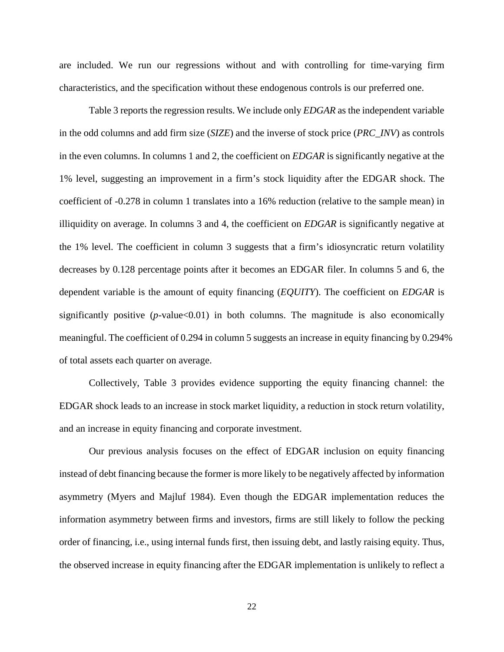are included. We run our regressions without and with controlling for time-varying firm characteristics, and the specification without these endogenous controls is our preferred one.

Table 3 reports the regression results. We include only *EDGAR* as the independent variable in the odd columns and add firm size (*SIZE*) and the inverse of stock price (*PRC\_INV*) as controls in the even columns. In columns 1 and 2, the coefficient on *EDGAR* is significantly negative at the 1% level, suggesting an improvement in a firm's stock liquidity after the EDGAR shock. The coefficient of -0.278 in column 1 translates into a 16% reduction (relative to the sample mean) in illiquidity on average. In columns 3 and 4, the coefficient on *EDGAR* is significantly negative at the 1% level. The coefficient in column 3 suggests that a firm's idiosyncratic return volatility decreases by 0.128 percentage points after it becomes an EDGAR filer. In columns 5 and 6, the dependent variable is the amount of equity financing (*EQUITY*). The coefficient on *EDGAR* is significantly positive  $(p$ -value $<0.01)$  in both columns. The magnitude is also economically meaningful. The coefficient of 0.294 in column 5 suggests an increase in equity financing by 0.294% of total assets each quarter on average.

Collectively, Table 3 provides evidence supporting the equity financing channel: the EDGAR shock leads to an increase in stock market liquidity, a reduction in stock return volatility, and an increase in equity financing and corporate investment.

Our previous analysis focuses on the effect of EDGAR inclusion on equity financing instead of debt financing because the former is more likely to be negatively affected by information asymmetry (Myers and Majluf 1984). Even though the EDGAR implementation reduces the information asymmetry between firms and investors, firms are still likely to follow the pecking order of financing, i.e., using internal funds first, then issuing debt, and lastly raising equity. Thus, the observed increase in equity financing after the EDGAR implementation is unlikely to reflect a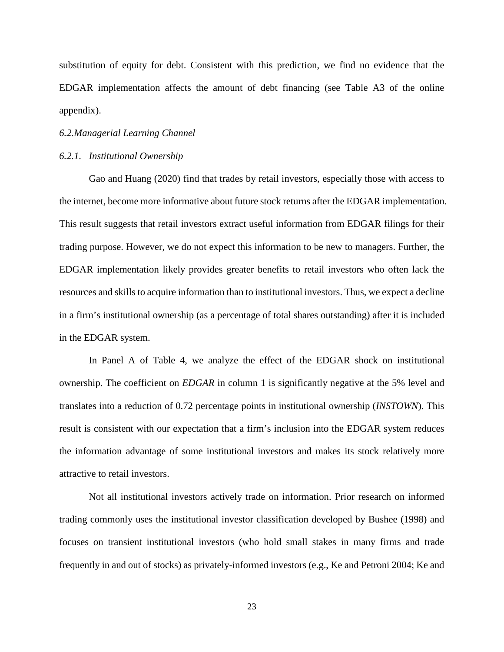substitution of equity for debt. Consistent with this prediction, we find no evidence that the EDGAR implementation affects the amount of debt financing (see Table A3 of the online appendix).

#### *6.2.Managerial Learning Channel*

#### *6.2.1. Institutional Ownership*

Gao and Huang (2020) find that trades by retail investors, especially those with access to the internet, become more informative about future stock returns after the EDGAR implementation. This result suggests that retail investors extract useful information from EDGAR filings for their trading purpose. However, we do not expect this information to be new to managers. Further, the EDGAR implementation likely provides greater benefits to retail investors who often lack the resources and skills to acquire information than to institutional investors. Thus, we expect a decline in a firm's institutional ownership (as a percentage of total shares outstanding) after it is included in the EDGAR system.

In Panel A of Table 4, we analyze the effect of the EDGAR shock on institutional ownership. The coefficient on *EDGAR* in column 1 is significantly negative at the 5% level and translates into a reduction of 0.72 percentage points in institutional ownership (*INSTOWN*). This result is consistent with our expectation that a firm's inclusion into the EDGAR system reduces the information advantage of some institutional investors and makes its stock relatively more attractive to retail investors.

Not all institutional investors actively trade on information. Prior research on informed trading commonly uses the institutional investor classification developed by Bushee (1998) and focuses on transient institutional investors (who hold small stakes in many firms and trade frequently in and out of stocks) as privately-informed investors (e.g., Ke and Petroni 2004; Ke and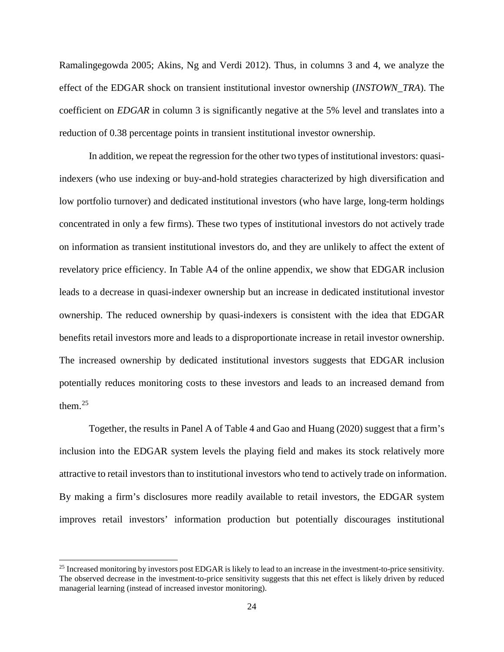Ramalingegowda 2005; Akins, Ng and Verdi 2012). Thus, in columns 3 and 4, we analyze the effect of the EDGAR shock on transient institutional investor ownership (*INSTOWN\_TRA*). The coefficient on *EDGAR* in column 3 is significantly negative at the 5% level and translates into a reduction of 0.38 percentage points in transient institutional investor ownership.

In addition, we repeat the regression for the other two types of institutional investors: quasiindexers (who use indexing or buy-and-hold strategies characterized by high diversification and low portfolio turnover) and dedicated institutional investors (who have large, long-term holdings concentrated in only a few firms). These two types of institutional investors do not actively trade on information as transient institutional investors do, and they are unlikely to affect the extent of revelatory price efficiency. In Table A4 of the online appendix, we show that EDGAR inclusion leads to a decrease in quasi-indexer ownership but an increase in dedicated institutional investor ownership. The reduced ownership by quasi-indexers is consistent with the idea that EDGAR benefits retail investors more and leads to a disproportionate increase in retail investor ownership. The increased ownership by dedicated institutional investors suggests that EDGAR inclusion potentially reduces monitoring costs to these investors and leads to an increased demand from them. $25$ 

Together, the results in Panel A of Table 4 and Gao and Huang (2020) suggest that a firm's inclusion into the EDGAR system levels the playing field and makes its stock relatively more attractive to retail investors than to institutional investors who tend to actively trade on information. By making a firm's disclosures more readily available to retail investors, the EDGAR system improves retail investors' information production but potentially discourages institutional

<span id="page-25-0"></span><sup>&</sup>lt;sup>25</sup> Increased monitoring by investors post EDGAR is likely to lead to an increase in the investment-to-price sensitivity. The observed decrease in the investment-to-price sensitivity suggests that this net effect is likely driven by reduced managerial learning (instead of increased investor monitoring).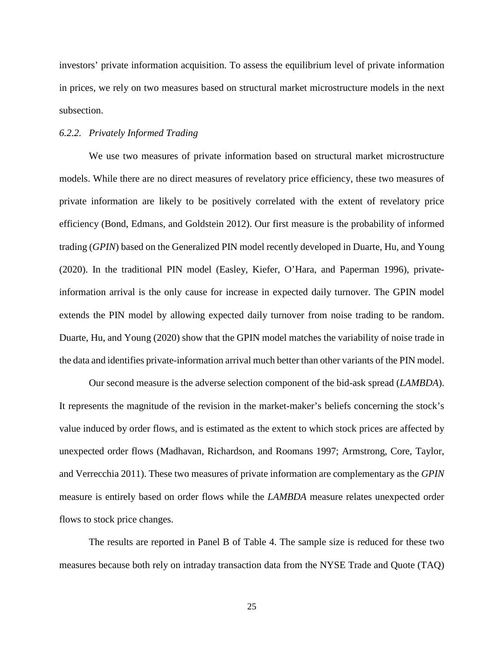investors' private information acquisition. To assess the equilibrium level of private information in prices, we rely on two measures based on structural market microstructure models in the next subsection.

#### *6.2.2. Privately Informed Trading*

We use two measures of private information based on structural market microstructure models. While there are no direct measures of revelatory price efficiency, these two measures of private information are likely to be positively correlated with the extent of revelatory price efficiency (Bond, Edmans, and Goldstein 2012). Our first measure is the probability of informed trading (*GPIN*) based on the Generalized PIN model recently developed in Duarte, Hu, and Young (2020). In the traditional PIN model (Easley, Kiefer, O'Hara, and Paperman 1996), privateinformation arrival is the only cause for increase in expected daily turnover. The GPIN model extends the PIN model by allowing expected daily turnover from noise trading to be random. Duarte, Hu, and Young (2020) show that the GPIN model matches the variability of noise trade in the data and identifies private-information arrival much better than other variants of the PIN model.

Our second measure is the adverse selection component of the bid-ask spread (*LAMBDA*). It represents the magnitude of the revision in the market-maker's beliefs concerning the stock's value induced by order flows, and is estimated as the extent to which stock prices are affected by unexpected order flows (Madhavan, Richardson, and Roomans 1997; Armstrong, Core, Taylor, and Verrecchia 2011). These two measures of private information are complementary as the *GPIN* measure is entirely based on order flows while the *LAMBDA* measure relates unexpected order flows to stock price changes.

The results are reported in Panel B of Table 4. The sample size is reduced for these two measures because both rely on intraday transaction data from the NYSE Trade and Quote (TAQ)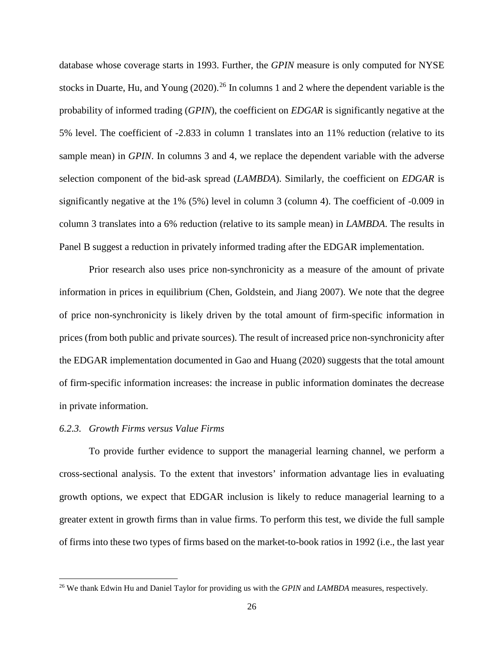database whose coverage starts in 1993. Further, the *GPIN* measure is only computed for NYSE stocks in Duarte, Hu, and Young  $(2020)$ .<sup>[26](#page-27-0)</sup> In columns 1 and 2 where the dependent variable is the probability of informed trading (*GPIN*), the coefficient on *EDGAR* is significantly negative at the 5% level. The coefficient of -2.833 in column 1 translates into an 11% reduction (relative to its sample mean) in *GPIN*. In columns 3 and 4, we replace the dependent variable with the adverse selection component of the bid-ask spread (*LAMBDA*). Similarly, the coefficient on *EDGAR* is significantly negative at the 1% (5%) level in column 3 (column 4). The coefficient of -0.009 in column 3 translates into a 6% reduction (relative to its sample mean) in *LAMBDA*. The results in Panel B suggest a reduction in privately informed trading after the EDGAR implementation.

Prior research also uses price non-synchronicity as a measure of the amount of private information in prices in equilibrium (Chen, Goldstein, and Jiang 2007). We note that the degree of price non-synchronicity is likely driven by the total amount of firm-specific information in prices (from both public and private sources). The result of increased price non-synchronicity after the EDGAR implementation documented in Gao and Huang (2020) suggests that the total amount of firm-specific information increases: the increase in public information dominates the decrease in private information.

#### *6.2.3. Growth Firms versus Value Firms*

l

To provide further evidence to support the managerial learning channel, we perform a cross-sectional analysis. To the extent that investors' information advantage lies in evaluating growth options, we expect that EDGAR inclusion is likely to reduce managerial learning to a greater extent in growth firms than in value firms. To perform this test, we divide the full sample of firms into these two types of firms based on the market-to-book ratios in 1992 (i.e., the last year

<span id="page-27-0"></span><sup>26</sup> We thank Edwin Hu and Daniel Taylor for providing us with the *GPIN* and *LAMBDA* measures, respectively.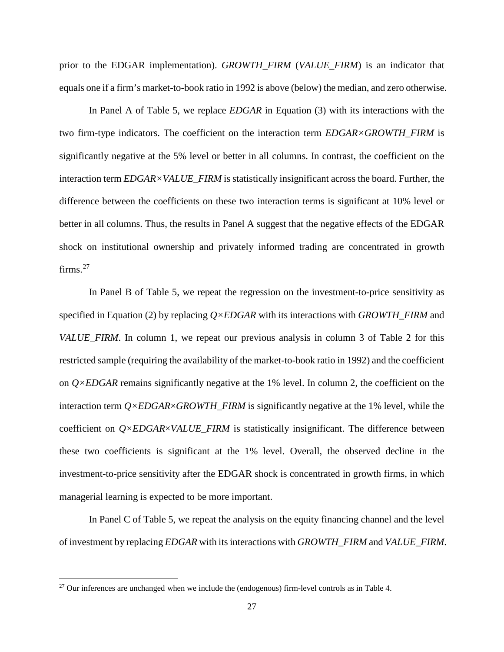prior to the EDGAR implementation). *GROWTH\_FIRM* (*VALUE\_FIRM*) is an indicator that equals one if a firm's market-to-book ratio in 1992 is above (below) the median, and zero otherwise.

In Panel A of Table 5, we replace *EDGAR* in Equation (3) with its interactions with the two firm-type indicators. The coefficient on the interaction term *EDGAR×GROWTH\_FIRM* is significantly negative at the 5% level or better in all columns. In contrast, the coefficient on the interaction term *EDGAR×VALUE\_FIRM* is statistically insignificant across the board. Further, the difference between the coefficients on these two interaction terms is significant at 10% level or better in all columns. Thus, the results in Panel A suggest that the negative effects of the EDGAR shock on institutional ownership and privately informed trading are concentrated in growth firms. $27$ 

In Panel B of Table 5, we repeat the regression on the investment-to-price sensitivity as specified in Equation (2) by replacing *Q×EDGAR* with its interactions with *GROWTH\_FIRM* and *VALUE\_FIRM*. In column 1, we repeat our previous analysis in column 3 of Table 2 for this restricted sample (requiring the availability of the market-to-book ratio in 1992) and the coefficient on  $Q \times EDGAR$  remains significantly negative at the 1% level. In column 2, the coefficient on the interaction term *Q×EDGAR*×*GROWTH\_FIRM* is significantly negative at the 1% level, while the coefficient on *Q×EDGAR*×*VALUE\_FIRM* is statistically insignificant. The difference between these two coefficients is significant at the 1% level. Overall, the observed decline in the investment-to-price sensitivity after the EDGAR shock is concentrated in growth firms, in which managerial learning is expected to be more important.

In Panel C of Table 5, we repeat the analysis on the equity financing channel and the level of investment by replacing *EDGAR* with its interactions with *GROWTH\_FIRM* and *VALUE\_FIRM*.

<span id="page-28-0"></span> $27$  Our inferences are unchanged when we include the (endogenous) firm-level controls as in Table 4.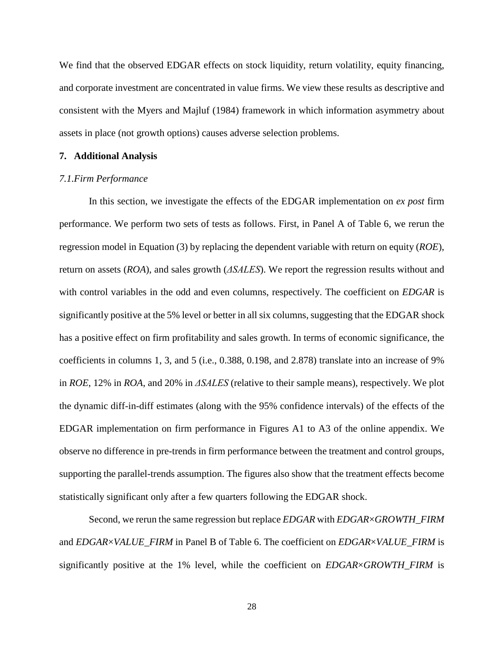We find that the observed EDGAR effects on stock liquidity, return volatility, equity financing, and corporate investment are concentrated in value firms. We view these results as descriptive and consistent with the Myers and Majluf (1984) framework in which information asymmetry about assets in place (not growth options) causes adverse selection problems.

#### **7. Additional Analysis**

#### *7.1.Firm Performance*

In this section, we investigate the effects of the EDGAR implementation on *ex post* firm performance. We perform two sets of tests as follows. First, in Panel A of Table 6, we rerun the regression model in Equation (3) by replacing the dependent variable with return on equity (*ROE*), return on assets (*ROA*), and sales growth (*ΔSALES*). We report the regression results without and with control variables in the odd and even columns, respectively. The coefficient on *EDGAR* is significantly positive at the 5% level or better in all six columns, suggesting that the EDGAR shock has a positive effect on firm profitability and sales growth. In terms of economic significance, the coefficients in columns 1, 3, and 5 (i.e., 0.388, 0.198, and 2.878) translate into an increase of 9% in *ROE*, 12% in *ROA*, and 20% in *ΔSALES* (relative to their sample means), respectively. We plot the dynamic diff-in-diff estimates (along with the 95% confidence intervals) of the effects of the EDGAR implementation on firm performance in Figures A1 to A3 of the online appendix. We observe no difference in pre-trends in firm performance between the treatment and control groups, supporting the parallel-trends assumption. The figures also show that the treatment effects become statistically significant only after a few quarters following the EDGAR shock.

Second, we rerun the same regression but replace *EDGAR* with *EDGAR*×*GROWTH\_FIRM* and *EDGAR*×*VALUE\_FIRM* in Panel B of Table 6. The coefficient on *EDGAR*×*VALUE\_FIRM* is significantly positive at the 1% level, while the coefficient on *EDGAR*×*GROWTH\_FIRM* is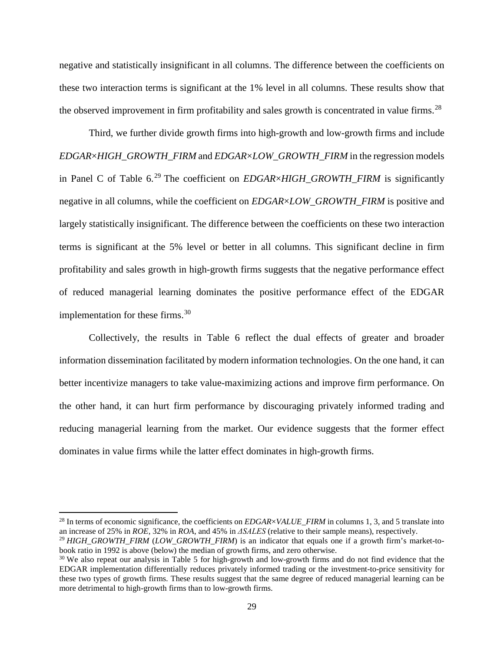negative and statistically insignificant in all columns. The difference between the coefficients on these two interaction terms is significant at the 1% level in all columns. These results show that the observed improvement in firm profitability and sales growth is concentrated in value firms.<sup>28</sup>

Third, we further divide growth firms into high-growth and low-growth firms and include *EDGAR*×*HIGH\_GROWTH\_FIRM* and *EDGAR*×*LOW\_GROWTH\_FIRM* in the regression models in Panel C of Table 6. [29](#page-30-1) The coefficient on *EDGAR*×*HIGH\_GROWTH\_FIRM* is significantly negative in all columns, while the coefficient on *EDGAR*×*LOW\_GROWTH\_FIRM* is positive and largely statistically insignificant. The difference between the coefficients on these two interaction terms is significant at the 5% level or better in all columns. This significant decline in firm profitability and sales growth in high-growth firms suggests that the negative performance effect of reduced managerial learning dominates the positive performance effect of the EDGAR implementation for these firms.<sup>[30](#page-30-2)</sup>

Collectively, the results in Table 6 reflect the dual effects of greater and broader information dissemination facilitated by modern information technologies. On the one hand, it can better incentivize managers to take value-maximizing actions and improve firm performance. On the other hand, it can hurt firm performance by discouraging privately informed trading and reducing managerial learning from the market. Our evidence suggests that the former effect dominates in value firms while the latter effect dominates in high-growth firms.

<span id="page-30-0"></span><sup>&</sup>lt;sup>28</sup> In terms of economic significance, the coefficients on *EDGAR*×*VALUE\_FIRM* in columns 1, 3, and 5 translate into an increase of 25% in *ROE*, 32% in *ROA*, and 45% in  $\triangle SALES$  (relative to their sample means), respec

<span id="page-30-1"></span><sup>&</sup>lt;sup>29</sup> HIGH GROWTH FIRM (LOW GROWTH FIRM) is an indicator that equals one if a growth firm's market-tobook ratio in 1992 is above (below) the median of growth firms, and zero otherwise.

<span id="page-30-2"></span><sup>&</sup>lt;sup>30</sup> We also repeat our analysis in Table 5 for high-growth and low-growth firms and do not find evidence that the EDGAR implementation differentially reduces privately informed trading or the investment-to-price sensitivity for these two types of growth firms. These results suggest that the same degree of reduced managerial learning can be more detrimental to high-growth firms than to low-growth firms.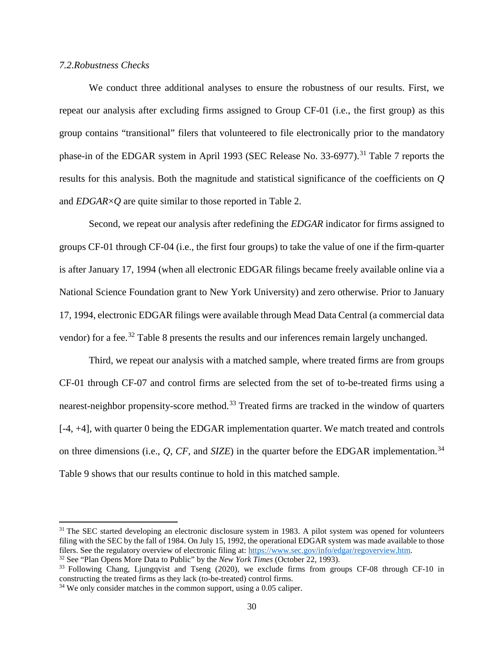## *7.2.Robustness Checks*

We conduct three additional analyses to ensure the robustness of our results. First, we repeat our analysis after excluding firms assigned to Group CF-01 (i.e., the first group) as this group contains "transitional" filers that volunteered to file electronically prior to the mandatory phase-in of the EDGAR system in April 1993 (SEC Release No. 33-6977).<sup>[31](#page-31-0)</sup> Table 7 reports the results for this analysis. Both the magnitude and statistical significance of the coefficients on *Q* and *EDGAR*×*Q* are quite similar to those reported in Table 2.

Second, we repeat our analysis after redefining the *EDGAR* indicator for firms assigned to groups CF-01 through CF-04 (i.e., the first four groups) to take the value of one if the firm-quarter is after January 17, 1994 (when all electronic EDGAR filings became freely available online via a National Science Foundation grant to New York University) and zero otherwise. Prior to January 17, 1994, electronic EDGAR filings were available through Mead Data Central (a commercial data vendor) for a fee.<sup>[32](#page-31-1)</sup> Table 8 presents the results and our inferences remain largely unchanged.

Third, we repeat our analysis with a matched sample, where treated firms are from groups CF-01 through CF-07 and control firms are selected from the set of to-be-treated firms using a nearest-neighbor propensity-score method.<sup>[33](#page-31-2)</sup> Treated firms are tracked in the window of quarters [-4, +4], with quarter 0 being the EDGAR implementation quarter. We match treated and controls on three dimensions (i.e., *Q*, *CF*, and *SIZE*) in the quarter before the EDGAR implementation. [34](#page-31-3) Table 9 shows that our results continue to hold in this matched sample.

<span id="page-31-0"></span> $31$  The SEC started developing an electronic disclosure system in 1983. A pilot system was opened for volunteers filing with the SEC by the fall of 1984. On July 15, 1992, the operational EDGAR system was made available to those filers. See the regulatory overview of electronic filing at: [https://www.sec.gov/info/edgar/regoverview.htm.](https://www.sec.gov/info/edgar/regoverview.htm) 32 See "Plan Opens More Data to Public" by the *New York Times* (October 22, 1993).

<span id="page-31-1"></span>

<span id="page-31-2"></span><sup>33</sup> Following Chang, Ljungqvist and Tseng (2020), we exclude firms from groups CF-08 through CF-10 in constructing the treated firms as they lack (to-be-treated) control firms.

<span id="page-31-3"></span><sup>&</sup>lt;sup>34</sup> We only consider matches in the common support, using a 0.05 caliper.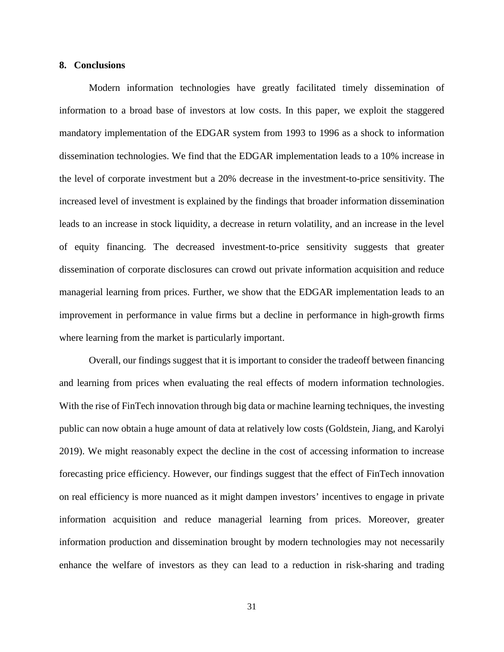#### **8. Conclusions**

Modern information technologies have greatly facilitated timely dissemination of information to a broad base of investors at low costs. In this paper, we exploit the staggered mandatory implementation of the EDGAR system from 1993 to 1996 as a shock to information dissemination technologies. We find that the EDGAR implementation leads to a 10% increase in the level of corporate investment but a 20% decrease in the investment-to-price sensitivity. The increased level of investment is explained by the findings that broader information dissemination leads to an increase in stock liquidity, a decrease in return volatility, and an increase in the level of equity financing. The decreased investment-to-price sensitivity suggests that greater dissemination of corporate disclosures can crowd out private information acquisition and reduce managerial learning from prices. Further, we show that the EDGAR implementation leads to an improvement in performance in value firms but a decline in performance in high-growth firms where learning from the market is particularly important.

Overall, our findings suggest that it is important to consider the tradeoff between financing and learning from prices when evaluating the real effects of modern information technologies. With the rise of FinTech innovation through big data or machine learning techniques, the investing public can now obtain a huge amount of data at relatively low costs (Goldstein, Jiang, and Karolyi 2019). We might reasonably expect the decline in the cost of accessing information to increase forecasting price efficiency. However, our findings suggest that the effect of FinTech innovation on real efficiency is more nuanced as it might dampen investors' incentives to engage in private information acquisition and reduce managerial learning from prices. Moreover, greater information production and dissemination brought by modern technologies may not necessarily enhance the welfare of investors as they can lead to a reduction in risk-sharing and trading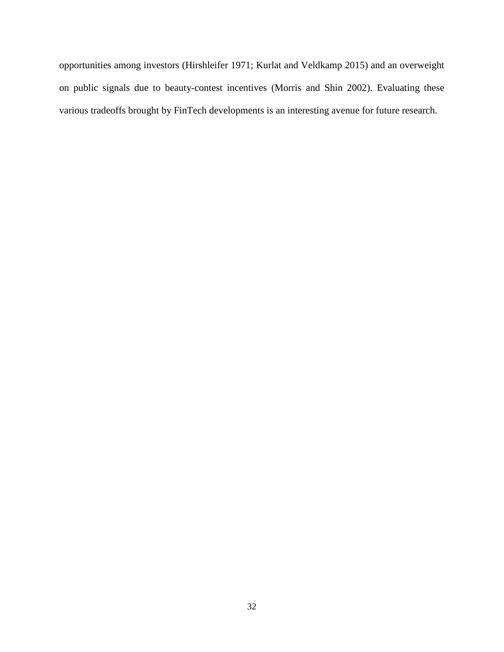opportunities among investors (Hirshleifer 1971; Kurlat and Veldkamp 2015) and an overweight on public signals due to beauty-contest incentives (Morris and Shin 2002). Evaluating these various tradeoffs brought by FinTech developments is an interesting avenue for future research.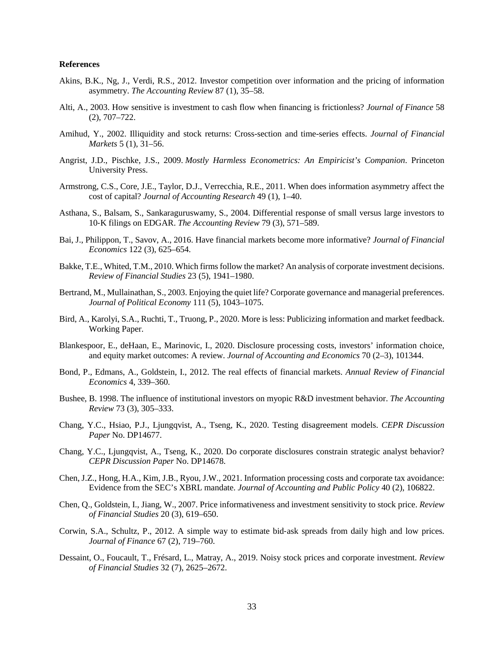#### **References**

- Akins, B.K., Ng, J., Verdi, R.S., 2012. Investor competition over information and the pricing of information asymmetry. *The Accounting Review* 87 (1), 35–58.
- Alti, A., 2003. How sensitive is investment to cash flow when financing is frictionless? *Journal of Finance* 58 (2), 707–722.
- Amihud, Y., 2002. Illiquidity and stock returns: Cross-section and time-series effects. *Journal of Financial Markets* 5 (1), 31–56.
- Angrist, J.D., Pischke, J.S., 2009. *Mostly Harmless Econometrics: An Empiricist's Companion*. Princeton University Press.
- Armstrong, C.S., Core, J.E., Taylor, D.J., Verrecchia, R.E., 2011. When does information asymmetry affect the cost of capital? *Journal of Accounting Research* 49 (1), 1–40.
- Asthana, S., Balsam, S., Sankaraguruswamy, S., 2004. Differential response of small versus large investors to 10‐K filings on EDGAR. *The Accounting Review* 79 (3), 571–589.
- Bai, J., Philippon, T., Savov, A., 2016. Have financial markets become more informative? *Journal of Financial Economics* 122 (3), 625–654.
- Bakke, T.E., Whited, T.M., 2010. Which firms follow the market? An analysis of corporate investment decisions. *Review of Financial Studies* 23 (5), 1941–1980.
- Bertrand, M., Mullainathan, S., 2003. Enjoying the quiet life? Corporate governance and managerial preferences. *Journal of Political Economy* 111 (5), 1043–1075.
- Bird, A., Karolyi, S.A., Ruchti, T., Truong, P., 2020. More is less: Publicizing information and market feedback. Working Paper.
- Blankespoor, E., deHaan, E., Marinovic, I., 2020. Disclosure processing costs, investors' information choice, and equity market outcomes: A review. *Journal of Accounting and Economics* 70 (2–3), 101344.
- Bond, P., Edmans, A., Goldstein, I., 2012. The real effects of financial markets. *Annual Review of Financial Economics* 4, 339–360.
- Bushee, B. 1998. The influence of institutional investors on myopic R&D investment behavior. *The Accounting Review* 73 (3), 305–333.
- Chang, Y.C., Hsiao, P.J., Ljungqvist, A., Tseng, K., 2020. Testing disagreement models. *CEPR Discussion Paper* No. DP14677.
- Chang, Y.C., Ljungqvist, A., Tseng, K., 2020. Do corporate disclosures constrain strategic analyst behavior? *CEPR Discussion Paper* No. DP14678.
- Chen, J.Z., Hong, H.A., Kim, J.B., Ryou, J.W., 2021. Information processing costs and corporate tax avoidance: Evidence from the SEC's XBRL mandate. *Journal of Accounting and Public Policy* 40 (2), 106822.
- Chen, Q., Goldstein, I., Jiang, W., 2007. Price informativeness and investment sensitivity to stock price. *Review of Financial Studies* 20 (3), 619–650.
- Corwin, S.A., Schultz, P., 2012. A simple way to estimate bid‐ask spreads from daily high and low prices. *Journal of Finance* 67 (2), 719–760.
- Dessaint, O., Foucault, T., Frésard, L., Matray, A., 2019. Noisy stock prices and corporate investment. *Review of Financial Studies* 32 (7), 2625–2672.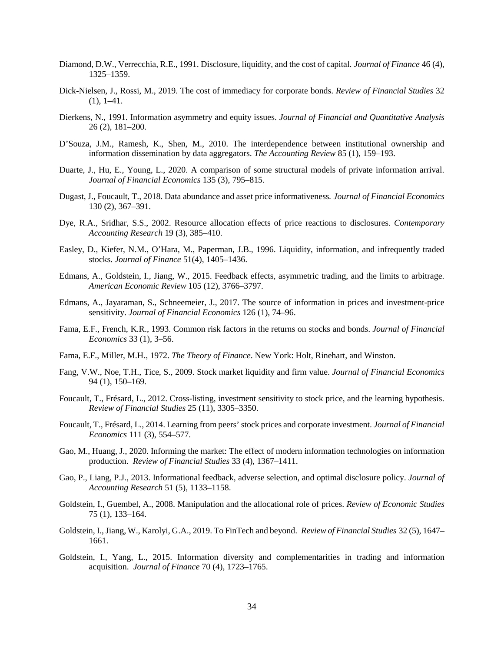- Diamond, D.W., Verrecchia, R.E., 1991. Disclosure, liquidity, and the cost of capital. *Journal of Finance* 46 (4), 1325–1359.
- Dick-Nielsen, J., Rossi, M., 2019. The cost of immediacy for corporate bonds. *Review of Financial Studies* 32  $(1), 1-41.$
- Dierkens, N., 1991. Information asymmetry and equity issues. *Journal of Financial and Quantitative Analysis* 26 (2), 181–200.
- D'Souza, J.M., Ramesh, K., Shen, M., 2010. The interdependence between institutional ownership and information dissemination by data aggregators. *The Accounting Review* 85 (1), 159–193.
- Duarte, J., Hu, E., Young, L., 2020. A comparison of some structural models of private information arrival. *Journal of Financial Economics* 135 (3), 795–815.
- Dugast, J., Foucault, T., 2018. Data abundance and asset price informativeness*. Journal of Financial Economics* 130 (2), 367–391.
- Dye, R.A., Sridhar, S.S., 2002. Resource allocation effects of price reactions to disclosures. *Contemporary Accounting Research* 19 (3), 385–410.
- Easley, D., Kiefer, N.M., O'Hara, M., Paperman, J.B., 1996. Liquidity, information, and infrequently traded stocks. *Journal of Finance* 51(4), 1405–1436.
- Edmans, A., Goldstein, I., Jiang, W., 2015. Feedback effects, asymmetric trading, and the limits to arbitrage. *American Economic Review* 105 (12), 3766–3797.
- Edmans, A., Jayaraman, S., Schneemeier, J., 2017. The source of information in prices and investment-price sensitivity. *Journal of Financial Economics* 126 (1), 74–96.
- Fama, E.F., French, K.R., 1993. Common risk factors in the returns on stocks and bonds. *Journal of Financial Economics* 33 (1), 3–56.
- Fama, E.F., Miller, M.H., 1972. *The Theory of Finance*. New York: Holt, Rinehart, and Winston.
- Fang, V.W., Noe, T.H., Tice, S., 2009. Stock market liquidity and firm value. *Journal of Financial Economics* 94 (1), 150–169.
- Foucault, T., Frésard, L., 2012. Cross-listing, investment sensitivity to stock price, and the learning hypothesis. *Review of Financial Studies* 25 (11), 3305–3350.
- Foucault, T., Frésard, L., 2014. Learning from peers' stock prices and corporate investment. *Journal of Financial Economics* 111 (3), 554–577.
- Gao, M., Huang, J., 2020. Informing the market: The effect of modern information technologies on information production. *Review of Financial Studies* 33 (4), 1367–1411.
- Gao, P., Liang, P.J., 2013. Informational feedback, adverse selection, and optimal disclosure policy. *Journal of Accounting Research* 51 (5), 1133–1158.
- Goldstein, I., Guembel, A., 2008. Manipulation and the allocational role of prices. *Review of Economic Studies* 75 (1), 133–164.
- Goldstein, I., Jiang, W., Karolyi, G.A., 2019. To FinTech and beyond. *Review of Financial Studies* 32 (5), 1647– 1661.
- Goldstein, I., Yang, L., 2015. Information diversity and complementarities in trading and information acquisition. *Journal of Finance* 70 (4), 1723–1765.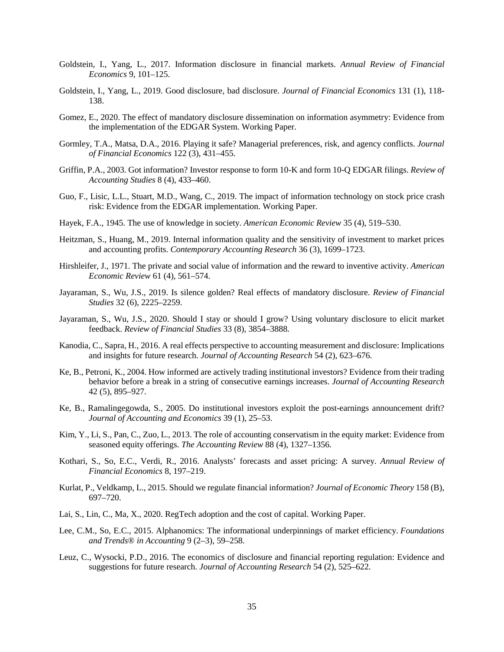- Goldstein, I., Yang, L., 2017. Information disclosure in financial markets. *Annual Review of Financial Economics* 9, 101–125.
- Goldstein, I., Yang, L., 2019. Good disclosure, bad disclosure. *Journal of Financial Economics* 131 (1), 118- 138.
- Gomez, E., 2020. The effect of mandatory disclosure dissemination on information asymmetry: Evidence from the implementation of the EDGAR System. Working Paper.
- Gormley, T.A., Matsa, D.A., 2016. Playing it safe? Managerial preferences, risk, and agency conflicts. *Journal of Financial Economics* 122 (3), 431–455.
- Griffin, P.A., 2003. Got information? Investor response to form 10-K and form 10-Q EDGAR filings. *Review of Accounting Studies* 8 (4), 433–460.
- Guo, F., Lisic, L.L., Stuart, M.D., Wang, C., 2019. The impact of information technology on stock price crash risk: Evidence from the EDGAR implementation. Working Paper.
- Hayek, F.A., 1945. The use of knowledge in society. *American Economic Review* 35 (4), 519–530.
- Heitzman, S., Huang, M., 2019. Internal information quality and the sensitivity of investment to market prices and accounting profits. *Contemporary Accounting Research* 36 (3), 1699–1723.
- Hirshleifer, J., 1971. The private and social value of information and the reward to inventive activity. *American Economic Review* 61 (4), 561–574.
- Jayaraman, S., Wu, J.S., 2019. Is silence golden? Real effects of mandatory disclosure. *Review of Financial Studies* 32 (6), 2225–2259.
- Jayaraman, S., Wu, J.S., 2020. Should I stay or should I grow? Using voluntary disclosure to elicit market feedback. *Review of Financial Studies* 33 (8), 3854–3888.
- Kanodia, C., Sapra, H., 2016. A real effects perspective to accounting measurement and disclosure: Implications and insights for future research. *Journal of Accounting Research* 54 (2), 623–676.
- Ke, B., Petroni, K., 2004. How informed are actively trading institutional investors? Evidence from their trading behavior before a break in a string of consecutive earnings increases. *Journal of Accounting Research* 42 (5), 895–927.
- Ke, B., Ramalingegowda, S., 2005. Do institutional investors exploit the post-earnings announcement drift? *Journal of Accounting and Economics* 39 (1), 25–53.
- Kim, Y., Li, S., Pan, C., Zuo, L., 2013. The role of accounting conservatism in the equity market: Evidence from seasoned equity offerings. *The Accounting Review* 88 (4), 1327–1356.
- Kothari, S., So, E.C., Verdi, R., 2016. Analysts' forecasts and asset pricing: A survey. *Annual Review of Financial Economics* 8, 197–219.
- Kurlat, P., Veldkamp, L., 2015. Should we regulate financial information? *Journal of Economic Theory* 158 (B), 697–720.
- Lai, S., Lin, C., Ma, X., 2020. RegTech adoption and the cost of capital. Working Paper.
- Lee, C.M., So, E.C., 2015. Alphanomics: The informational underpinnings of market efficiency. *Foundations and Trends® in Accounting* 9 (2–3), 59–258.
- Leuz, C., Wysocki, P.D., 2016. The economics of disclosure and financial reporting regulation: Evidence and suggestions for future research. *Journal of Accounting Research* 54 (2), 525–622.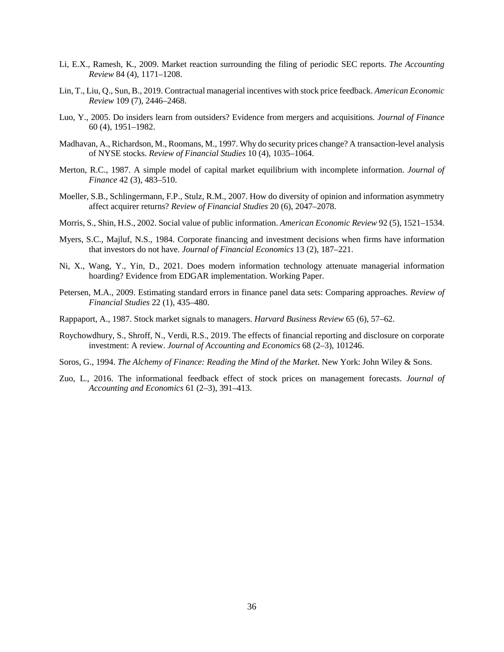- Li, E.X., Ramesh, K., 2009. Market reaction surrounding the filing of periodic SEC reports. *The Accounting Review* 84 (4), 1171–1208.
- Lin, T., Liu, Q., Sun, B., 2019. Contractual managerial incentives with stock price feedback. *American Economic Review* 109 (7), 2446–2468.
- Luo, Y., 2005. Do insiders learn from outsiders? Evidence from mergers and acquisitions. *Journal of Finance* 60 (4), 1951–1982.
- Madhavan, A., Richardson, M., Roomans, M., 1997. Why do security prices change? A transaction-level analysis of NYSE stocks. *Review of Financial Studies* 10 (4), 1035–1064.
- Merton, R.C., 1987. A simple model of capital market equilibrium with incomplete information. *Journal of Finance* 42 (3), 483–510.
- Moeller, S.B., Schlingermann, F.P., Stulz, R.M., 2007. How do diversity of opinion and information asymmetry affect acquirer returns? *Review of Financial Studies* 20 (6), 2047–2078.
- Morris, S., Shin, H.S., 2002. Social value of public information. *American Economic Review* 92 (5), 1521–1534.
- Myers, S.C., Majluf, N.S., 1984. Corporate financing and investment decisions when firms have information that investors do not have. *Journal of Financial Economics* 13 (2), 187–221.
- Ni, X., Wang, Y., Yin, D., 2021. Does modern information technology attenuate managerial information hoarding? Evidence from EDGAR implementation. Working Paper.
- Petersen, M.A., 2009. Estimating standard errors in finance panel data sets: Comparing approaches. *Review of Financial Studies* 22 (1), 435–480.
- Rappaport, A., 1987. Stock market signals to managers. *Harvard Business Review* 65 (6), 57–62.
- Roychowdhury, S., Shroff, N., Verdi, R.S., 2019. The effects of financial reporting and disclosure on corporate investment: A review. *Journal of Accounting and Economics* 68 (2–3), 101246.
- Soros, G., 1994. *The Alchemy of Finance: Reading the Mind of the Market*. New York: John Wiley & Sons.
- Zuo, L., 2016. The informational feedback effect of stock prices on management forecasts. *Journal of Accounting and Economics* 61 (2–3), 391–413.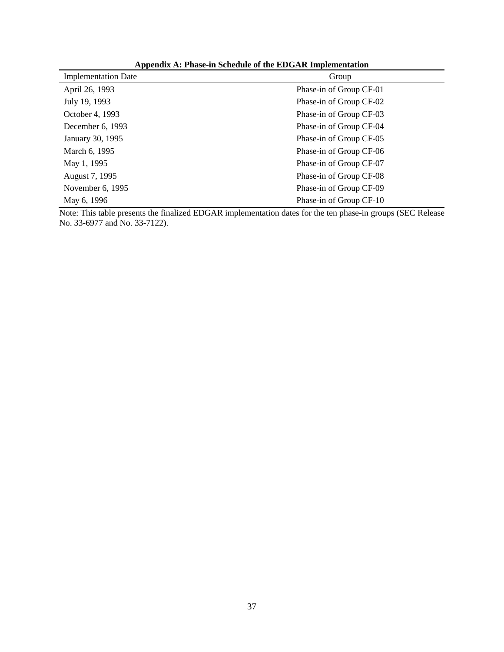| <b>Implementation Date</b> | Group                   |
|----------------------------|-------------------------|
| April 26, 1993             | Phase-in of Group CF-01 |
| July 19, 1993              | Phase-in of Group CF-02 |
| October 4, 1993            | Phase-in of Group CF-03 |
| December 6, 1993           | Phase-in of Group CF-04 |
| January 30, 1995           | Phase-in of Group CF-05 |
| March 6, 1995              | Phase-in of Group CF-06 |
| May 1, 1995                | Phase-in of Group CF-07 |
| August 7, 1995             | Phase-in of Group CF-08 |
| November 6, 1995           | Phase-in of Group CF-09 |
| May 6, 1996                | Phase-in of Group CF-10 |

**Appendix A: Phase-in Schedule of the EDGAR Implementation**

Note: This table presents the finalized EDGAR implementation dates for the ten phase-in groups (SEC Release No. 33-6977 and No. 33-7122).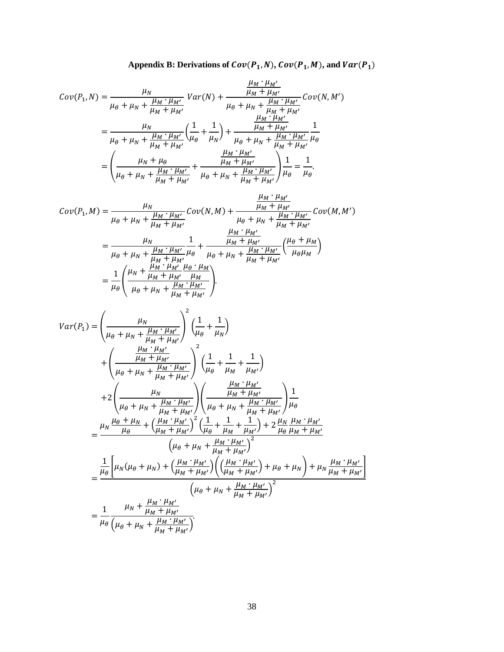Appendix B: Derivations of 
$$
Cov(P_1, N)
$$
,  $Cov(P_1, M)$ , and  $Var(P_1)$ 

$$
Cov(P_1, N) = \frac{\mu_N}{\mu_\theta + \mu_N + \frac{\mu_M \cdot \mu_{M'}}{\mu_M + \mu_{M'}}} Var(N) + \frac{\frac{\mu_M \cdot \mu_{M'}}{\mu_M + \mu_{M'}}}{\mu_\theta + \mu_N + \frac{\mu_M \cdot \mu_{M'}}{\mu_M + \mu_{M'}}} Cov(N, M')
$$
  
= 
$$
\frac{\mu_N}{\mu_\theta + \mu_N + \frac{\mu_M \cdot \mu_{M'}}{\mu_M + \mu_{M'}}} \left(\frac{1}{\mu_\theta} + \frac{1}{\mu_N}\right) + \frac{\frac{\mu_M \cdot \mu_{M'}}{\mu_M + \mu_{M'}}}{\mu_\theta + \mu_N + \frac{\mu_M \cdot \mu_{M'}}{\mu_M + \mu_{M'}}} \frac{1}{\mu_\theta}
$$
  
= 
$$
\left(\frac{\mu_N + \mu_\theta}{\mu_\theta + \mu_N + \frac{\mu_M \cdot \mu_{M'}}{\mu_M + \mu_{M'}}} + \frac{\frac{\mu_M \cdot \mu_{M'}}{\mu_M + \mu_{M'}}}{\mu_\theta + \mu_N + \frac{\mu_M \cdot \mu_{M'}}{\mu_M + \mu_{M'}}}\right) \frac{1}{\mu_\theta} = \frac{1}{\mu_\theta}.
$$

$$
Cov(P_1, M) = \frac{\mu_N}{\mu_{\theta} + \mu_N + \frac{\mu_M \cdot \mu_{M'}}{\mu_M + \mu_{M'}}} Cov(N, M) + \frac{\frac{\mu_M \cdot \mu_{M'}}{\mu_M + \mu_{M'}} Cov(M, M'))}{\mu_{\theta} + \mu_N + \frac{\mu_M \cdot \mu_{M'}}{\mu_M + \mu_{M'}}}
$$
  

$$
= \frac{\mu_N}{\mu_{\theta} + \mu_N + \frac{\mu_M \cdot \mu_{M'}}{\mu_M + \mu_{M'}} \mu_{\theta}} + \frac{\frac{\mu_M \cdot \mu_{M'}}{\mu_M + \mu_{M'}}}{\mu_{\theta} + \mu_N + \frac{\mu_M \cdot \mu_{M'}}{\mu_M + \mu_{M'}}} \left(\frac{\mu_{\theta} + \mu_M}{\mu_{\theta} + \mu_M}\right)
$$
  

$$
= \frac{1}{\mu_{\theta}} \left(\frac{\mu_N + \frac{\mu_M \cdot \mu_{M'}}{\mu_M + \mu_{M'}} \frac{\mu_{\theta} \cdot \mu_M}{\mu_M + \mu_{M'}}\right).
$$

$$
Var(P_1) = \left(\frac{\mu_N}{\mu_{\theta} + \mu_N + \frac{\mu_M \cdot \mu_{M'}}{\mu_M + \mu_{M'}}\right)^2 \left(\frac{1}{\mu_{\theta}} + \frac{1}{\mu_N}\right) + \left(\frac{\frac{\mu_N \cdot \mu_{M'}}{\mu_M + \mu_{M'}}}{\mu_{\theta} + \mu_N + \frac{\mu_M \cdot \mu_{M'}}{\mu_M + \mu_{M'}}\right)^2 \left(\frac{1}{\mu_{\theta}} + \frac{1}{\mu_M} + \frac{1}{\mu_{M'}}\right) + 2 \left(\frac{\mu_N}{\mu_{\theta} + \mu_N + \frac{\mu_M \cdot \mu_{M'}}{\mu_M + \mu_{M'}}\right) \left(\frac{\frac{\mu_M \cdot \mu_{M'}}{\mu_M + \mu_{M'}}}{\mu_{\theta} + \mu_N + \frac{\mu_M \cdot \mu_{M'}}{\mu_M + \mu_{M'}}\right) \frac{1}{\mu_{\theta}} = \frac{\mu_N \frac{\mu_{\theta} + \mu_N}{\mu_{\theta}} + \left(\frac{\mu_M \cdot \mu_{M'}}{\mu_M + \mu_{M'}}\right)^2 \left(\frac{1}{\mu_{\theta}} + \frac{1}{\mu_M} + \frac{1}{\mu_{M'}}\right) + 2 \frac{\mu_N \mu_M \cdot \mu_{M'}}{\mu_{\theta} \mu_M + \mu_{M'}}}{\left(\mu_{\theta} + \mu_N + \frac{\mu_M \cdot \mu_{M'}}{\mu_M + \mu_{M'}}\right)^2} = \frac{\frac{1}{\mu_{\theta}} \left[\mu_N(\mu_{\theta} + \mu_N) + \left(\frac{\mu_M \cdot \mu_{M'}}{\mu_M + \mu_{M'}}\right) \left(\left(\frac{\mu_M \cdot \mu_{M'}}{\mu_M + \mu_{M'}}\right) + \mu_{\theta} + \mu_N\right) + \mu_N \frac{\mu_M \cdot \mu_{M'}}{\mu_M + \mu_{M'}}\right]}{\left(\mu_{\theta} + \mu_N + \frac{\mu_M \cdot \mu_{M'}}{\mu_M + \mu_{M'}}\right)^2} = \frac{1}{\mu_{\theta}} \frac{\mu_N + \frac{\mu_M \cdot \mu_{M'}}{\mu_M + \mu_{M'}}}{\left(\mu_{\theta} + \mu_N + \frac{\mu_M \cdot \mu_{M'}}{\mu_{M} + \mu_{M'}}\right)}.
$$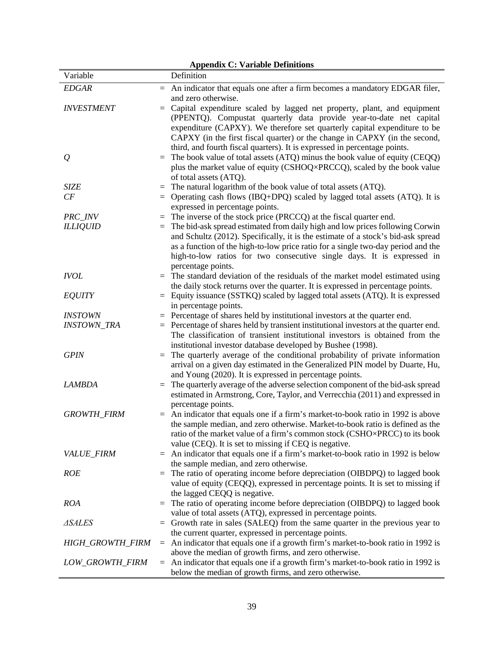| <b>Appendix C: Variable Definitions</b> |     |                                                                                                                                                                        |  |  |  |  |  |
|-----------------------------------------|-----|------------------------------------------------------------------------------------------------------------------------------------------------------------------------|--|--|--|--|--|
| Variable                                |     | Definition                                                                                                                                                             |  |  |  |  |  |
| <b>EDGAR</b>                            | $=$ | An indicator that equals one after a firm becomes a mandatory EDGAR filer,                                                                                             |  |  |  |  |  |
|                                         |     | and zero otherwise.                                                                                                                                                    |  |  |  |  |  |
| <b>INVESTMENT</b>                       | $=$ | Capital expenditure scaled by lagged net property, plant, and equipment                                                                                                |  |  |  |  |  |
|                                         |     | (PPENTQ). Compustat quarterly data provide year-to-date net capital                                                                                                    |  |  |  |  |  |
|                                         |     | expenditure (CAPXY). We therefore set quarterly capital expenditure to be                                                                                              |  |  |  |  |  |
|                                         |     | CAPXY (in the first fiscal quarter) or the change in CAPXY (in the second,                                                                                             |  |  |  |  |  |
|                                         |     | third, and fourth fiscal quarters). It is expressed in percentage points.                                                                                              |  |  |  |  |  |
| $\varrho$                               | $=$ | The book value of total assets (ATQ) minus the book value of equity (CEQQ)                                                                                             |  |  |  |  |  |
|                                         |     | plus the market value of equity (CSHOQ×PRCCQ), scaled by the book value                                                                                                |  |  |  |  |  |
|                                         |     | of total assets (ATQ).                                                                                                                                                 |  |  |  |  |  |
| <b>SIZE</b>                             | $=$ | The natural logarithm of the book value of total assets (ATQ).                                                                                                         |  |  |  |  |  |
| CF                                      | $=$ | Operating cash flows (IBQ+DPQ) scaled by lagged total assets (ATQ). It is                                                                                              |  |  |  |  |  |
|                                         |     | expressed in percentage points.                                                                                                                                        |  |  |  |  |  |
| PRC_INV                                 | $=$ | The inverse of the stock price (PRCCQ) at the fiscal quarter end.                                                                                                      |  |  |  |  |  |
| <b>ILLIQUID</b>                         | $=$ | The bid-ask spread estimated from daily high and low prices following Corwin                                                                                           |  |  |  |  |  |
|                                         |     | and Schultz (2012). Specifically, it is the estimate of a stock's bid-ask spread                                                                                       |  |  |  |  |  |
|                                         |     | as a function of the high-to-low price ratio for a single two-day period and the                                                                                       |  |  |  |  |  |
|                                         |     | high-to-low ratios for two consecutive single days. It is expressed in                                                                                                 |  |  |  |  |  |
|                                         |     | percentage points.                                                                                                                                                     |  |  |  |  |  |
| <b>IVOL</b>                             | $=$ | The standard deviation of the residuals of the market model estimated using                                                                                            |  |  |  |  |  |
|                                         |     | the daily stock returns over the quarter. It is expressed in percentage points.                                                                                        |  |  |  |  |  |
| <b>EQUITY</b>                           |     | $=$ Equity issuance (SSTKQ) scaled by lagged total assets (ATQ). It is expressed                                                                                       |  |  |  |  |  |
|                                         |     | in percentage points.                                                                                                                                                  |  |  |  |  |  |
| <b>INSTOWN</b><br><b>INSTOWN_TRA</b>    |     | $=$ Percentage of shares held by institutional investors at the quarter end.<br>$=$ Percentage of shares held by transient institutional investors at the quarter end. |  |  |  |  |  |
|                                         |     | The classification of transient institutional investors is obtained from the                                                                                           |  |  |  |  |  |
|                                         |     | institutional investor database developed by Bushee (1998).                                                                                                            |  |  |  |  |  |
| <b>GPIN</b>                             | $=$ | The quarterly average of the conditional probability of private information                                                                                            |  |  |  |  |  |
|                                         |     | arrival on a given day estimated in the Generalized PIN model by Duarte, Hu,                                                                                           |  |  |  |  |  |
|                                         |     | and Young (2020). It is expressed in percentage points.                                                                                                                |  |  |  |  |  |
| <b>LAMBDA</b>                           | $=$ | The quarterly average of the adverse selection component of the bid-ask spread                                                                                         |  |  |  |  |  |
|                                         |     | estimated in Armstrong, Core, Taylor, and Verrecchia (2011) and expressed in                                                                                           |  |  |  |  |  |
|                                         |     | percentage points.                                                                                                                                                     |  |  |  |  |  |
| <b>GROWTH_FIRM</b>                      | $=$ | An indicator that equals one if a firm's market-to-book ratio in 1992 is above                                                                                         |  |  |  |  |  |
|                                         |     | the sample median, and zero otherwise. Market-to-book ratio is defined as the                                                                                          |  |  |  |  |  |
|                                         |     | ratio of the market value of a firm's common stock (CSHO×PRCC) to its book                                                                                             |  |  |  |  |  |
|                                         |     | value (CEQ). It is set to missing if CEQ is negative.                                                                                                                  |  |  |  |  |  |
| VALUE_FIRM                              | $=$ | An indicator that equals one if a firm's market-to-book ratio in 1992 is below                                                                                         |  |  |  |  |  |
|                                         |     | the sample median, and zero otherwise.                                                                                                                                 |  |  |  |  |  |
| <b>ROE</b>                              | $=$ | The ratio of operating income before depreciation (OIBDPQ) to lagged book                                                                                              |  |  |  |  |  |
|                                         |     | value of equity (CEQQ), expressed in percentage points. It is set to missing if                                                                                        |  |  |  |  |  |
|                                         |     | the lagged CEQQ is negative.                                                                                                                                           |  |  |  |  |  |
| <b>ROA</b>                              | $=$ | The ratio of operating income before depreciation (OIBDPQ) to lagged book<br>value of total assets (ATQ), expressed in percentage points.                              |  |  |  |  |  |
| <b>ASALES</b>                           | $=$ | Growth rate in sales (SALEQ) from the same quarter in the previous year to                                                                                             |  |  |  |  |  |
|                                         |     | the current quarter, expressed in percentage points.                                                                                                                   |  |  |  |  |  |
| HIGH_GROWTH_FIRM                        |     | $=$ An indicator that equals one if a growth firm's market-to-book ratio in 1992 is                                                                                    |  |  |  |  |  |
|                                         |     | above the median of growth firms, and zero otherwise.                                                                                                                  |  |  |  |  |  |
| LOW_GROWTH_FIRM                         |     | $=$ An indicator that equals one if a growth firm's market-to-book ratio in 1992 is                                                                                    |  |  |  |  |  |
|                                         |     | below the median of growth firms, and zero otherwise.                                                                                                                  |  |  |  |  |  |
|                                         |     |                                                                                                                                                                        |  |  |  |  |  |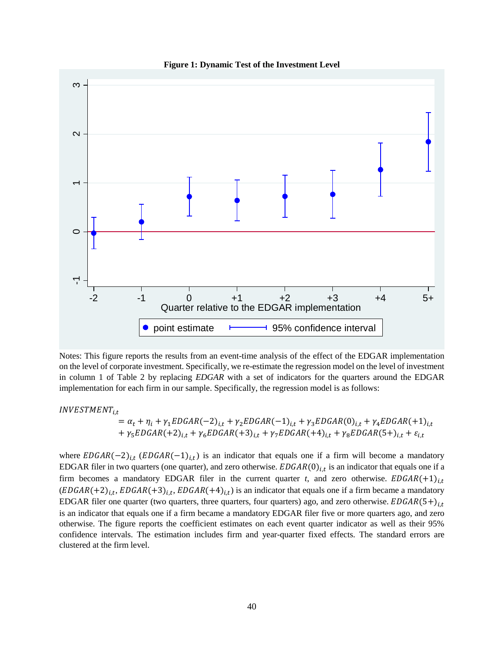

**Figure 1: Dynamic Test of the Investment Level**

Notes: This figure reports the results from an event-time analysis of the effect of the EDGAR implementation on the level of corporate investment. Specifically, we re-estimate the regression model on the level of investment in column 1 of Table 2 by replacing *EDGAR* with a set of indicators for the quarters around the EDGAR implementation for each firm in our sample. Specifically, the regression model is as follows:

 $INVESTMENT_{i.t}$ 

 $= \alpha_t + \eta_i + \gamma_1 EDGAR(-2)_{i,t} + \gamma_2 EDGAR(-1)_{i,t} + \gamma_3 EDGAR(0)_{i,t} + \gamma_4 EDGAR(+1)_{i,t}$ +  $\gamma_5 EDGAR(+2)_{i,t} + \gamma_6 EDGAR(+3)_{i,t} + \gamma_7 EDGAR(+4)_{i,t} + \gamma_8 EDGAR(5+)_{i,t} + \varepsilon_{i,t}$ 

where  $EDGAR(-2)_{i,t}$  ( $EDGAR(-1)_{i,t}$ ) is an indicator that equals one if a firm will become a mandatory EDGAR filer in two quarters (one quarter), and zero otherwise.  $EDGAR(0)_{i,t}$  is an indicator that equals one if a firm becomes a mandatory EDGAR filer in the current quarter *t*, and zero otherwise.  $EDGAR(+1)_{i,t}$  $(EDGAR(+2)<sub>i,t</sub>, EDGAR(+3)<sub>i,t</sub>, EDGAR(+4)<sub>i,t</sub>)$  is an indicator that equals one if a firm became a mandatory EDGAR filer one quarter (two quarters, three quarters, four quarters) ago, and zero otherwise.  $EDGAR(5+)_{i,t}$ is an indicator that equals one if a firm became a mandatory EDGAR filer five or more quarters ago, and zero otherwise. The figure reports the coefficient estimates on each event quarter indicator as well as their 95% confidence intervals. The estimation includes firm and year-quarter fixed effects. The standard errors are Notes: This figure reports<br>
on the level of corporate in<br>
in column 1 of Table 2 1<br>
implementation for each f<br>
INVESTMENT<sub>i,t</sub><br>
=  $\alpha_t + \eta$ <br>
+  $\gamma_5 ED$ <br>
where  $EDGAR(-2)_{i,t}$  (EL<br>
EDGAR filer in two quart<br>
firm becomes a manda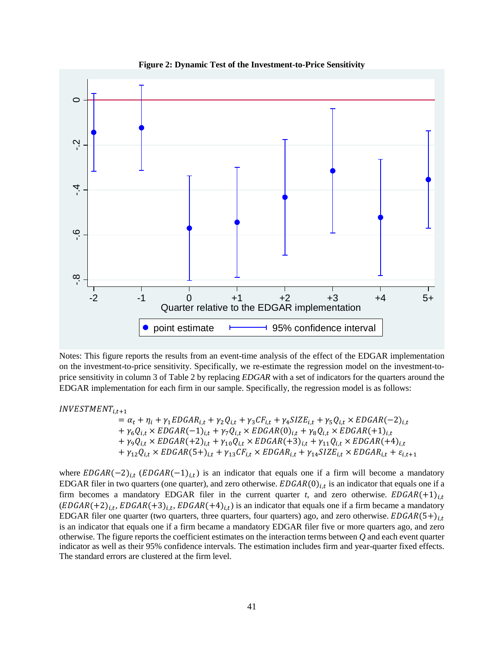

**Figure 2: Dynamic Test of the Investment-to-Price Sensitivity**

Notes: This figure reports the results from an event-time analysis of the effect of the EDGAR implementation on the investment-to-price sensitivity. Specifically, we re-estimate the regression model on the investment-toprice sensitivity in column 3 of Table 2 by replacing *EDGAR* with a set of indicators for the quarters around the EDGAR implementation for each firm in our sample. Specifically, the regression model is as follows:

 $INVESTMENT_{i,t+1}$ 

 $= \alpha_t + \eta_i + \gamma_1 EDGAR_{i,t} + \gamma_2 Q_{i,t} + \gamma_3 CF_{i,t} + \gamma_4 SIZE_{i,t} + \gamma_5 Q_{i,t} \times EDGAR(-2)_{i,t}$  $+ \gamma_6 Q_{i,t} \times EDGAR(-1)_{i,t} + \gamma_7 Q_{i,t} \times EDGAR(0)_{i,t} + \gamma_8 Q_{i,t} \times EDGAR(+1)_{i,t}$  $+ \gamma_9 Q_{i,t} \times EDGAR(+2)_{i,t} + \gamma_{10} Q_{i,t} \times EDGAR(+3)_{i,t} + \gamma_{11} Q_{i,t} \times EDGAR(+4)_{i,t}$  $+ \gamma_{12} Q_{i,t} \times EDGAR(5+)_{i,t} + \gamma_{13} CF_{i,t} \times EDGAR_{i,t} + \gamma_{14} SIZE_{i,t} \times EDGAR_{i,t} + \varepsilon_{i,t+1}$ 

where  $EDGAR(-2)_{i,t}$  ( $EDGAR(-1)_{i,t}$ ) is an indicator that equals one if a firm will become a mandatory EDGAR filer in two quarters (one quarter), and zero otherwise.  $EDGAR(0)_{i,t}$  is an indicator that equals one if a firm becomes a mandatory EDGAR filer in the current quarter *t*, and zero otherwise.  $EDGAR(+1)_{i,t}$  $(EDGAR(+2)<sub>1,t</sub>, EDGAR(+3)<sub>1,t</sub>, EDGAR(+4)<sub>1,t</sub>)$  is an indicator that equals one if a firm became a mandatory EDGAR filer one quarter (two quarters, three quarters, four quarters) ago, and zero otherwise.  $EDGAR(5+)_{i,t}$ is an indicator that equals one if a firm became a mandatory EDGAR filer five or more quarters ago, and zero otherwise. The figure reports the coefficient estimates on the interaction terms between *Q* and each event quarter indicator as well as their 95% confidence intervals. The estimation includes firm and year-quarter fixed effects.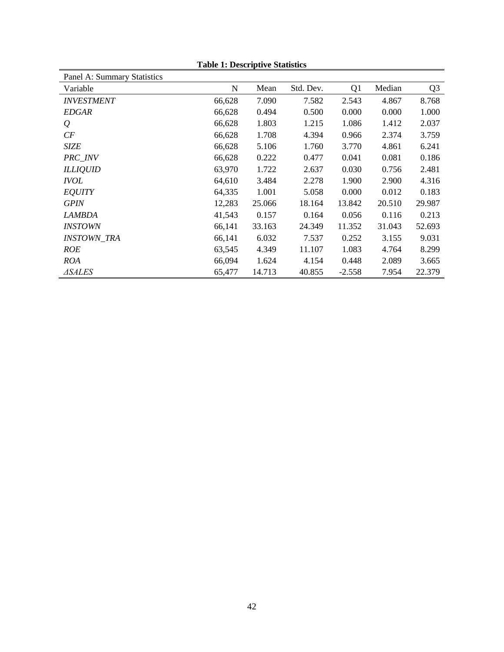| Panel A: Summary Statistics |        |        |           |                |        |                |
|-----------------------------|--------|--------|-----------|----------------|--------|----------------|
| Variable                    | N      | Mean   | Std. Dev. | Q <sub>1</sub> | Median | Q <sub>3</sub> |
| <b>INVESTMENT</b>           | 66,628 | 7.090  | 7.582     | 2.543          | 4.867  | 8.768          |
| <b>EDGAR</b>                | 66,628 | 0.494  | 0.500     | 0.000          | 0.000  | 1.000          |
| $\mathcal{Q}$               | 66,628 | 1.803  | 1.215     | 1.086          | 1.412  | 2.037          |
| CF                          | 66,628 | 1.708  | 4.394     | 0.966          | 2.374  | 3.759          |
| <b>SIZE</b>                 | 66,628 | 5.106  | 1.760     | 3.770          | 4.861  | 6.241          |
| PRC_INV                     | 66,628 | 0.222  | 0.477     | 0.041          | 0.081  | 0.186          |
| <b>ILLIQUID</b>             | 63,970 | 1.722  | 2.637     | 0.030          | 0.756  | 2.481          |
| <i><b>IVOL</b></i>          | 64,610 | 3.484  | 2.278     | 1.900          | 2.900  | 4.316          |
| <b>EQUITY</b>               | 64,335 | 1.001  | 5.058     | 0.000          | 0.012  | 0.183          |
| <b>GPIN</b>                 | 12,283 | 25.066 | 18.164    | 13.842         | 20.510 | 29.987         |
| <b>LAMBDA</b>               | 41,543 | 0.157  | 0.164     | 0.056          | 0.116  | 0.213          |
| <i><b>INSTOWN</b></i>       | 66,141 | 33.163 | 24.349    | 11.352         | 31.043 | 52.693         |
| <b>INSTOWN TRA</b>          | 66,141 | 6.032  | 7.537     | 0.252          | 3.155  | 9.031          |
| <b>ROE</b>                  | 63,545 | 4.349  | 11.107    | 1.083          | 4.764  | 8.299          |
| <b>ROA</b>                  | 66,094 | 1.624  | 4.154     | 0.448          | 2.089  | 3.665          |
| ⊿SALES                      | 65,477 | 14.713 | 40.855    | $-2.558$       | 7.954  | 22.379         |

**Table 1: Descriptive Statistics**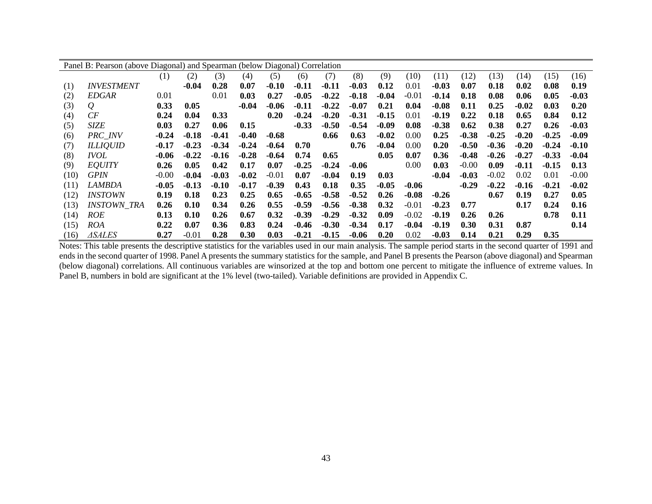|      | Panel B: Pearson (above Diagonal) and Spearman (below Diagonal) Correlation |         |         |         |         |         |         |         |         |         |         |         |         |         |         |         |         |
|------|-----------------------------------------------------------------------------|---------|---------|---------|---------|---------|---------|---------|---------|---------|---------|---------|---------|---------|---------|---------|---------|
|      |                                                                             | (1)     | (2)     | (3)     | (4)     | (5)     | (6)     | (7)     | (8)     | (9)     | (10)    | (11)    | (12)    | (13)    | (14)    | (15)    | (16)    |
| (1)  | <b>INVESTMENT</b>                                                           |         | $-0.04$ | 0.28    | 0.07    | $-0.10$ | $-0.11$ | $-0.11$ | $-0.03$ | 0.12    | 0.01    | $-0.03$ | 0.07    | 0.18    | 0.02    | 0.08    | 0.19    |
| (2)  | <b>EDGAR</b>                                                                | 0.01    |         | 0.01    | 0.03    | 0.27    | $-0.05$ | $-0.22$ | $-0.18$ | $-0.04$ | $-0.01$ | $-0.14$ | 0.18    | 0.08    | 0.06    | 0.05    | -0.03   |
| (3)  | $\mathcal{Q}$                                                               | 0.33    | 0.05    |         | $-0.04$ | $-0.06$ | $-0.11$ | $-0.22$ | $-0.07$ | 0.21    | 0.04    | $-0.08$ | 0.11    | 0.25    | $-0.02$ | 0.03    | 0.20    |
| (4)  | CF                                                                          | 0.24    | 0.04    | 0.33    |         | 0.20    | $-0.24$ | $-0.20$ | $-0.31$ | $-0.15$ | 0.01    | $-0.19$ | 0.22    | 0.18    | 0.65    | 0.84    | 0.12    |
| (5)  | <b>SIZE</b>                                                                 | 0.03    | 0.27    | 0.06    | 0.15    |         | $-0.33$ | $-0.50$ | $-0.54$ | $-0.09$ | 0.08    | $-0.38$ | 0.62    | 0.38    | 0.27    | 0.26    | $-0.03$ |
| (6)  | <b>PRC</b> INV                                                              | $-0.24$ | $-0.18$ | $-0.41$ | $-0.40$ | $-0.68$ |         | 0.66    | 0.63    | $-0.02$ | 0.00    | 0.25    | $-0.38$ | $-0.25$ | $-0.20$ | $-0.25$ | $-0.09$ |
| (7)  | <b>ILLIQUID</b>                                                             | $-0.17$ | $-0.23$ | $-0.34$ | $-0.24$ | $-0.64$ | 0.70    |         | 0.76    | $-0.04$ | 0.00    | 0.20    | $-0.50$ | $-0.36$ | $-0.20$ | $-0.24$ | $-0.10$ |
| (8)  | <i>IVOL</i>                                                                 | $-0.06$ | $-0.22$ | $-0.16$ | $-0.28$ | $-0.64$ | 0.74    | 0.65    |         | 0.05    | 0.07    | 0.36    | $-0.48$ | $-0.26$ | $-0.27$ | $-0.33$ | $-0.04$ |
| (9)  | <b>EQUITY</b>                                                               | 0.26    | 0.05    | 0.42    | 0.17    | 0.07    | $-0.25$ | $-0.24$ | $-0.06$ |         | 0.00    | 0.03    | $-0.00$ | 0.09    | $-0.11$ | $-0.15$ | 0.13    |
| (10) | <b>GPIN</b>                                                                 | $-0.00$ | $-0.04$ | $-0.03$ | $-0.02$ | $-0.01$ | 0.07    | $-0.04$ | 0.19    | 0.03    |         | $-0.04$ | $-0.03$ | $-0.02$ | 0.02    | 0.01    | $-0.00$ |
| (11) | <i>LAMBDA</i>                                                               | $-0.05$ | $-0.13$ | $-0.10$ | $-0.17$ | $-0.39$ | 0.43    | 0.18    | 0.35    | $-0.05$ | $-0.06$ |         | $-0.29$ | $-0.22$ | $-0.16$ | $-0.21$ | $-0.02$ |
| (12) | <i><b>INSTOWN</b></i>                                                       | 0.19    | 0.18    | 0.23    | 0.25    | 0.65    | $-0.65$ | $-0.58$ | $-0.52$ | 0.26    | $-0.08$ | $-0.26$ |         | 0.67    | 0.19    | 0.27    | 0.05    |
| (13) | <b>INSTOWN_TRA</b>                                                          | 0.26    | 0.10    | 0.34    | 0.26    | 0.55    | $-0.59$ | $-0.56$ | $-0.38$ | 0.32    | $-0.01$ | $-0.23$ | 0.77    |         | 0.17    | 0.24    | 0.16    |
| (14) | <b>ROE</b>                                                                  | 0.13    | 0.10    | 0.26    | 0.67    | 0.32    | $-0.39$ | $-0.29$ | $-0.32$ | 0.09    | $-0.02$ | $-0.19$ | 0.26    | 0.26    |         | 0.78    | 0.11    |
| (15) | <i>ROA</i>                                                                  | 0.22    | 0.07    | 0.36    | 0.83    | 0.24    | $-0.46$ | $-0.30$ | $-0.34$ | 0.17    | $-0.04$ | $-0.19$ | 0.30    | 0.31    | 0.87    |         | 0.14    |
| (16) | <i>ASALES</i>                                                               | 0.27    | $-0.01$ | 0.28    | 0.30    | 0.03    | $-0.21$ | $-0.15$ | $-0.06$ | 0.20    | 0.02    | $-0.03$ | 0.14    | 0.21    | 0.29    | 0.35    |         |

Notes: This table presents the descriptive statistics for the variables used in our main analysis. The sample period starts in the second quarter of 1991 and ends in the second quarter of 1998. Panel A presents the summary statistics for the sample, and Panel B presents the Pearson (above diagonal) and Spearman (below diagonal) correlations. All continuous variables are winsorized at the top and bottom one percent to mitigate the influence of extreme values. In Panel B, numbers in bold are significant at the 1% level (two-tailed). Variable definitions are provided in Appendix C.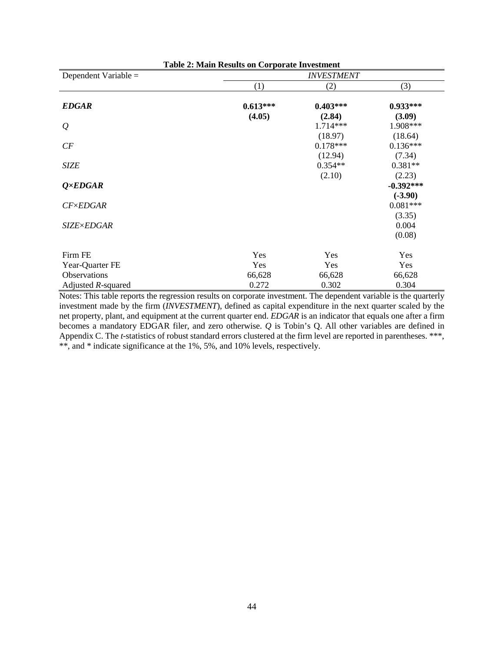| <b>Table 2: Main Results on Corporate Investment</b> |            |            |             |  |  |  |  |  |  |
|------------------------------------------------------|------------|------------|-------------|--|--|--|--|--|--|
| Dependent Variable $=$                               |            |            |             |  |  |  |  |  |  |
|                                                      | (1)        | (2)        | (3)         |  |  |  |  |  |  |
| <b>EDGAR</b>                                         | $0.613***$ | $0.403***$ | $0.933***$  |  |  |  |  |  |  |
|                                                      | (4.05)     | (2.84)     | (3.09)      |  |  |  |  |  |  |
| $\varrho$                                            |            | 1.714***   | 1.908***    |  |  |  |  |  |  |
|                                                      |            | (18.97)    | (18.64)     |  |  |  |  |  |  |
| CF                                                   |            | $0.178***$ | $0.136***$  |  |  |  |  |  |  |
|                                                      |            | (12.94)    | (7.34)      |  |  |  |  |  |  |
| <b>SIZE</b>                                          |            | $0.354**$  | $0.381**$   |  |  |  |  |  |  |
|                                                      |            | (2.10)     | (2.23)      |  |  |  |  |  |  |
| $Q \times EDGAR$                                     |            |            | $-0.392***$ |  |  |  |  |  |  |
|                                                      |            |            | $(-3.90)$   |  |  |  |  |  |  |
| $CF \times EDGAR$                                    |            |            | $0.081***$  |  |  |  |  |  |  |
|                                                      |            |            | (3.35)      |  |  |  |  |  |  |
| <b>SIZE×EDGAR</b>                                    |            |            | 0.004       |  |  |  |  |  |  |
|                                                      |            |            | (0.08)      |  |  |  |  |  |  |
| Firm FE                                              | Yes        | Yes        | Yes         |  |  |  |  |  |  |
| Year-Quarter FE                                      | Yes        | Yes        | Yes         |  |  |  |  |  |  |
| <b>Observations</b>                                  | 66,628     | 66,628     | 66,628      |  |  |  |  |  |  |
| Adjusted $R$ -squared                                | 0.272      | 0.302      | 0.304       |  |  |  |  |  |  |

Notes: This table reports the regression results on corporate investment. The dependent variable is the quarterly investment made by the firm (*INVESTMENT*), defined as capital expenditure in the next quarter scaled by the net property, plant, and equipment at the current quarter end. *EDGAR* is an indicator that equals one after a firm becomes a mandatory EDGAR filer, and zero otherwise. *Q* is Tobin's Q. All other variables are defined in Appendix C. The *t*-statistics of robust standard errors clustered at the firm level are reported in parentheses. \*\*\*, \*\*, and \* indicate significance at the 1%, 5%, and 10% levels, respectively.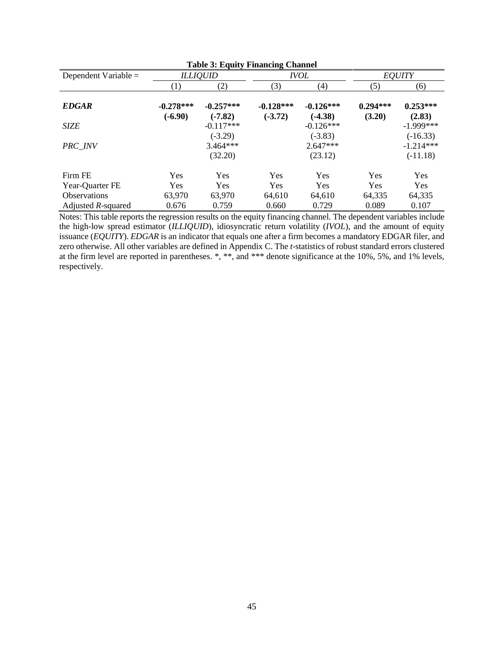| <b>Table 3: Equity Financing Channel</b> |                          |                          |                          |                          |                      |                           |  |  |
|------------------------------------------|--------------------------|--------------------------|--------------------------|--------------------------|----------------------|---------------------------|--|--|
| Dependent Variable $=$                   |                          | <b>ILLIQUID</b>          |                          | <i>IVOL</i>              | <b>EQUITY</b>        |                           |  |  |
|                                          | $\left(1\right)$         | (2)                      | (3)                      | (4)                      | (5)                  | (6)                       |  |  |
| <b>EDGAR</b>                             | $-0.278***$<br>$(-6.90)$ | $-0.257***$<br>$(-7.82)$ | $-0.128***$<br>$(-3.72)$ | $-0.126***$<br>$(-4.38)$ | $0.294***$<br>(3.20) | $0.253***$<br>(2.83)      |  |  |
| <b>SIZE</b>                              |                          | $-0.117***$              |                          | $-0.126***$              |                      | $-1.999***$               |  |  |
| <b>PRC</b> INV                           |                          | $(-3.29)$<br>$3.464***$  |                          | $(-3.83)$<br>$2.647***$  |                      | $(-16.33)$<br>$-1.214***$ |  |  |
|                                          |                          | (32.20)                  |                          | (23.12)                  |                      | $(-11.18)$                |  |  |
| Firm FE                                  | Yes                      | Yes                      | Yes                      | Yes                      | Yes                  | Yes                       |  |  |
| Year-Quarter FE                          | <b>Yes</b>               | Yes                      | Yes                      | Yes                      | <b>Yes</b>           | <b>Yes</b>                |  |  |
| <b>Observations</b>                      | 63,970                   | 63,970                   | 64,610                   | 64,610                   | 64,335               | 64,335                    |  |  |
| Adjusted R-squared                       | 0.676                    | 0.759                    | 0.660                    | 0.729                    | 0.089                | 0.107                     |  |  |

Notes: This table reports the regression results on the equity financing channel. The dependent variables include the high-low spread estimator (*ILLIQUID*), idiosyncratic return volatility (*IVOL*), and the amount of equity issuance (*EQUITY*). *EDGAR* is an indicator that equals one after a firm becomes a mandatory EDGAR filer, and zero otherwise. All other variables are defined in Appendix C. The *t*-statistics of robust standard errors clustered at the firm level are reported in parentheses. \*, \*\*, and \*\*\* denote significance at the 10%, 5%, and 1% levels, respectively.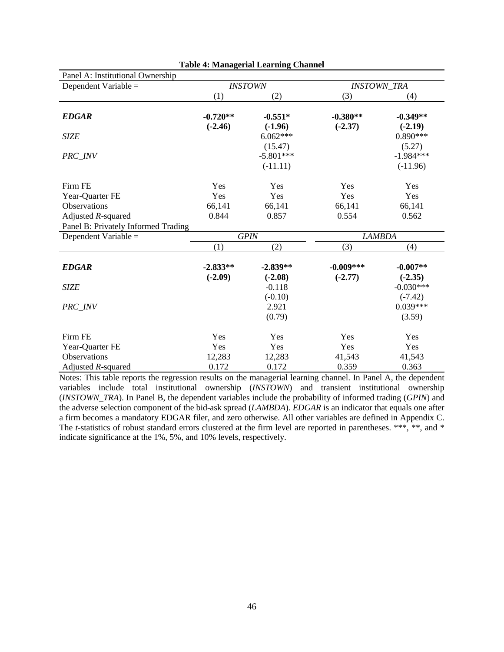| Panel A: Institutional Ownership    |            |                |               |                    |  |  |
|-------------------------------------|------------|----------------|---------------|--------------------|--|--|
| Dependent Variable =                |            | <b>INSTOWN</b> |               | <b>INSTOWN TRA</b> |  |  |
|                                     | (1)        | (2)            | (3)           | (4)                |  |  |
| <b>EDGAR</b>                        | $-0.720**$ | $-0.551*$      | $-0.380**$    | $-0.349**$         |  |  |
|                                     | $(-2.46)$  | $(-1.96)$      | $(-2.37)$     | $(-2.19)$          |  |  |
| <b>SIZE</b>                         |            | $6.062***$     |               | $0.890***$         |  |  |
|                                     |            | (15.47)        |               | (5.27)             |  |  |
| PRC_INV                             |            | $-5.801***$    |               | $-1.984***$        |  |  |
|                                     |            | $(-11.11)$     |               | $(-11.96)$         |  |  |
| Firm FE                             | Yes        | Yes            | Yes           | Yes                |  |  |
| Year-Quarter FE                     | Yes        | Yes            | Yes           | Yes                |  |  |
| Observations                        | 66,141     | 66,141         | 66,141        | 66,141             |  |  |
| Adjusted $R$ -squared               | 0.844      | 0.857          | 0.554         | 0.562              |  |  |
| Panel B: Privately Informed Trading |            |                |               |                    |  |  |
| Dependent Variable =                |            | <b>GPIN</b>    | <b>LAMBDA</b> |                    |  |  |
|                                     | (1)        | (2)            | (3)           | (4)                |  |  |
| <b>EDGAR</b>                        | $-2.833**$ | $-2.839**$     | $-0.009***$   | $-0.007**$         |  |  |
|                                     | $(-2.09)$  | $(-2.08)$      | $(-2.77)$     | $(-2.35)$          |  |  |
| <b>SIZE</b>                         |            | $-0.118$       |               | $-0.030***$        |  |  |
|                                     |            | $(-0.10)$      |               | $(-7.42)$          |  |  |
| PRC INV                             |            | 2.921          |               | $0.039***$         |  |  |
|                                     |            | (0.79)         |               | (3.59)             |  |  |
| Firm FE                             | Yes        | Yes            | Yes           | Yes                |  |  |
| Year-Quarter FE                     | Yes        | Yes            | Yes           | Yes                |  |  |
| Observations                        | 12,283     | 12,283         | 41,543        | 41,543             |  |  |
| Adjusted $R$ -squared               | 0.172      | 0.172          | 0.359         | 0.363              |  |  |

Notes: This table reports the regression results on the managerial learning channel. In Panel A, the dependent variables include total institutional ownership (*INSTOWN*) and transient institutional ownership (*INSTOWN\_TRA*). In Panel B, the dependent variables include the probability of informed trading (*GPIN*) and the adverse selection component of the bid-ask spread (*LAMBDA*). *EDGAR* is an indicator that equals one after a firm becomes a mandatory EDGAR filer, and zero otherwise. All other variables are defined in Appendix C. The *t*-statistics of robust standard errors clustered at the firm level are reported in parentheses. \*\*\*, \*\*, and \* indicate significance at the 1%, 5%, and 10% levels, respectively.

| <b>Table 4: Managerial Learning Channel</b> |  |
|---------------------------------------------|--|
|---------------------------------------------|--|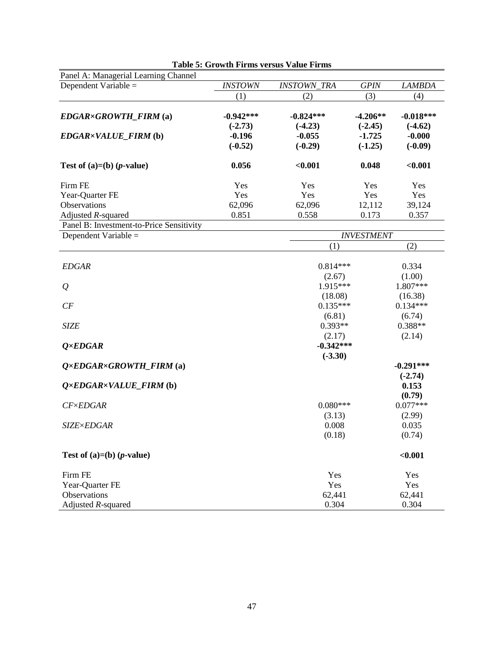| Panel A: Managerial Learning Channel     |                          |                          |                         |                          |
|------------------------------------------|--------------------------|--------------------------|-------------------------|--------------------------|
| Dependent Variable =                     | <b>INSTOWN</b>           | <b>INSTOWN_TRA</b>       | <b>GPIN</b>             | <b>LAMBDA</b>            |
|                                          | (1)                      | (2)                      | (3)                     | (4)                      |
| EDGAR×GROWTH_FIRM (a)                    | $-0.942***$<br>$(-2.73)$ | $-0.824***$<br>$(-4.23)$ | $-4.206**$<br>$(-2.45)$ | $-0.018***$<br>$(-4.62)$ |
| EDGAR×VALUE_FIRM (b)                     | $-0.196$<br>$(-0.52)$    | $-0.055$<br>$(-0.29)$    | $-1.725$<br>$(-1.25)$   | $-0.000$<br>$(-0.09)$    |
| Test of $(a)=(b)$ ( <i>p</i> -value)     | 0.056                    | $0.001$                  | 0.048                   | < 0.001                  |
| Firm FE                                  | Yes                      | Yes                      | Yes                     | Yes                      |
| Year-Quarter FE                          | Yes                      | Yes                      | Yes                     | Yes                      |
| Observations                             | 62,096                   | 62,096                   | 12,112                  | 39,124                   |
| Adjusted R-squared                       | 0.851                    | 0.558                    | 0.173                   | 0.357                    |
| Panel B: Investment-to-Price Sensitivity |                          |                          |                         |                          |
| Dependent Variable =                     |                          |                          | <b>INVESTMENT</b>       |                          |
|                                          |                          | (1)                      |                         | (2)                      |
|                                          |                          | $0.814***$               |                         |                          |
| <b>EDGAR</b>                             |                          |                          |                         | 0.334<br>(1.00)          |
|                                          |                          | (2.67)<br>1.915***       |                         | 1.807***                 |
| $\mathcal{Q}$                            |                          |                          |                         |                          |
|                                          |                          | (18.08)<br>$0.135***$    |                         | (16.38)<br>$0.134***$    |
| CF                                       |                          |                          |                         |                          |
| <b>SIZE</b>                              |                          | (6.81)<br>$0.393**$      |                         | (6.74)<br>$0.388**$      |
|                                          |                          | (2.17)                   |                         | (2.14)                   |
| $Q \times EDGAR$                         |                          | $-0.342***$              |                         |                          |
|                                          |                          | $(-3.30)$                |                         |                          |
| $Q \times EDGAR \times GROWTH$ FIRM (a)  |                          |                          |                         | $-0.291***$              |
|                                          |                          |                          |                         | $(-2.74)$                |
| $Q \times EDGAR \times VALUE\_FIRM$ (b)  |                          |                          |                         | 0.153                    |
|                                          |                          |                          |                         | (0.79)                   |
| $CF\times EDGAR$                         |                          | $0.080***$               |                         | $0.077***$               |
|                                          |                          | (3.13)                   |                         | (2.99)                   |
| <b>SIZE×EDGAR</b>                        |                          | 0.008                    |                         | 0.035                    |
|                                          |                          | (0.18)                   |                         | (0.74)                   |
| Test of $(a)=(b)$ ( <i>p</i> -value)     |                          |                          |                         | < 0.001                  |
| Firm FE                                  |                          | Yes                      |                         | Yes                      |
| Year-Quarter FE                          |                          | Yes                      |                         | Yes                      |
| Observations                             |                          | 62,441                   |                         | 62,441                   |
| Adjusted $R$ -squared                    |                          | 0.304                    |                         | 0.304                    |

#### **Table 5: Growth Firms versus Value Firms**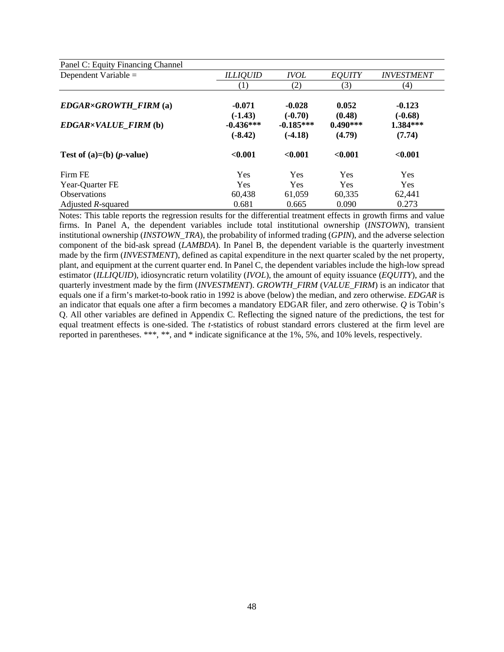| Panel C: Equity Financing Channel    |                          |                          |                      |                          |
|--------------------------------------|--------------------------|--------------------------|----------------------|--------------------------|
| Dependent Variable $=$               | <b>ILLIQUID</b>          | <b>IVOL</b>              | <b>EQUITY</b>        | <i><b>INVESTMENT</b></i> |
|                                      | $\left(1\right)$         | (2)                      | (3)                  | (4)                      |
| $EDGAR \times GROWTH$ FIRM (a)       | $-0.071$<br>$(-1.43)$    | $-0.028$<br>$(-0.70)$    | 0.052<br>(0.48)      | $-0.123$<br>$(-0.68)$    |
| EDGAR×VALUE_FIRM (b)                 | $-0.436***$<br>$(-8.42)$ | $-0.185***$<br>$(-4.18)$ | $0.490***$<br>(4.79) | 1.384***<br>(7.74)       |
| Test of $(a)=(b)$ ( <i>p</i> -value) | < 0.001                  | < 0.001                  | < 0.001              | < 0.001                  |
| Firm FE                              | <b>Yes</b>               | Yes                      | <b>Yes</b>           | <b>Yes</b>               |
| Year-Quarter FE                      | <b>Yes</b>               | <b>Yes</b>               | <b>Yes</b>           | <b>Yes</b>               |
| <b>Observations</b>                  | 60,438                   | 61,059                   | 60,335               | 62,441                   |
| Adjusted R-squared                   | 0.681                    | 0.665                    | 0.090                | 0.273                    |

Notes: This table reports the regression results for the differential treatment effects in growth firms and value firms. In Panel A, the dependent variables include total institutional ownership (*INSTOWN*), transient institutional ownership (*INSTOWN\_TRA*), the probability of informed trading (*GPIN*), and the adverse selection component of the bid-ask spread (*LAMBDA*). In Panel B, the dependent variable is the quarterly investment made by the firm (*INVESTMENT*), defined as capital expenditure in the next quarter scaled by the net property, plant, and equipment at the current quarter end. In Panel C, the dependent variables include the high-low spread estimator (*ILLIQUID*), idiosyncratic return volatility (*IVOL*), the amount of equity issuance (*EQUITY*), and the quarterly investment made by the firm (*INVESTMENT*). *GROWTH\_FIRM* (*VALUE\_FIRM*) is an indicator that equals one if a firm's market-to-book ratio in 1992 is above (below) the median, and zero otherwise. *EDGAR* is an indicator that equals one after a firm becomes a mandatory EDGAR filer, and zero otherwise. *Q* is Tobin's Q. All other variables are defined in Appendix C. Reflecting the signed nature of the predictions, the test for equal treatment effects is one-sided. The *t*-statistics of robust standard errors clustered at the firm level are reported in parentheses. \*\*\*, \*\*, and \* indicate significance at the 1%, 5%, and 10% levels, respectively.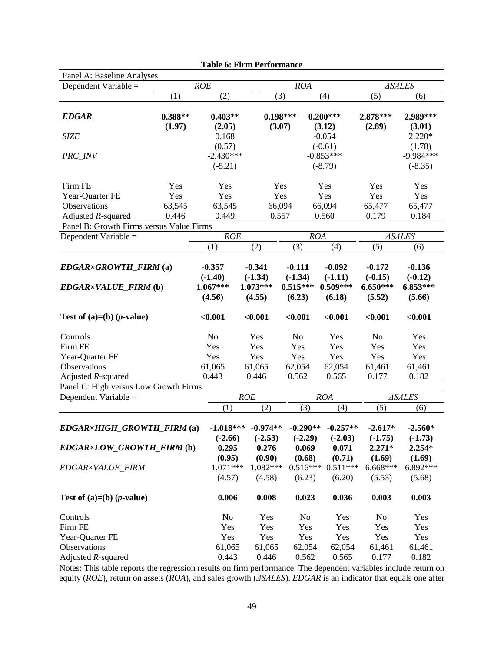| Panel A: Baseline Analyses               |                     |                     |                        |                      |                                                                 |                    |                        |  |
|------------------------------------------|---------------------|---------------------|------------------------|----------------------|-----------------------------------------------------------------|--------------------|------------------------|--|
| Dependent Variable =                     |                     | ROE                 |                        | <b>ROA</b>           |                                                                 | <b>ASALES</b>      |                        |  |
|                                          | (1)                 | (2)                 | (3)                    |                      | (4)                                                             | (5)                | (6)                    |  |
| <b>EDGAR</b>                             | $0.388**$<br>(1.97) | $0.403**$<br>(2.05) |                        | $0.198***$<br>(3.07) | $0.200***$<br>(3.12)                                            | 2.878***<br>(2.89) | 2.989***<br>(3.01)     |  |
| <b>SIZE</b>                              |                     | 0.168               |                        |                      | $-0.054$                                                        |                    | $2.220*$               |  |
|                                          |                     | (0.57)              |                        |                      | $(-0.61)$                                                       |                    | (1.78)                 |  |
| PRC_INV                                  |                     | $-2.430***$         |                        |                      | $-0.853***$                                                     |                    | $-9.984***$            |  |
|                                          |                     | $(-5.21)$           |                        |                      | $(-8.79)$                                                       |                    | $(-8.35)$              |  |
| Firm FE                                  | Yes                 | Yes                 |                        | Yes                  | Yes                                                             | Yes                | Yes                    |  |
| Year-Quarter FE                          | Yes                 | Yes                 |                        | Yes                  | Yes                                                             | Yes                | Yes                    |  |
| Observations                             | 63,545              | 63,545              |                        | 66,094               | 66,094                                                          | 65,477             | 65,477                 |  |
| Adjusted R-squared                       | 0.446               | 0.449               | 0.557                  |                      | 0.560                                                           | 0.179              | 0.184                  |  |
| Panel B: Growth Firms versus Value Firms |                     |                     |                        |                      |                                                                 |                    |                        |  |
| Dependent Variable =                     |                     | ROE                 |                        |                      | <b>ROA</b>                                                      |                    | $\triangle SALES$      |  |
|                                          |                     | (1)                 | (2)                    | (3)                  | (4)                                                             | (5)                | (6)                    |  |
| $EDGAR \times GROWTH$ FIRM (a)           |                     | $-0.357$            | $-0.341$               | $-0.111$             | $-0.092$                                                        | $-0.172$           | $-0.136$               |  |
|                                          |                     | $(-1.40)$           | $(-1.34)$              | $(-1.34)$            | $(-1.11)$                                                       | $(-0.15)$          | $(-0.12)$              |  |
| EDGAR×VALUE_FIRM (b)                     |                     | $1.067***$          | $1.073***$             | $0.515***$           | $0.509***$                                                      | $6.650***$         | 6.853***               |  |
|                                          |                     | (4.56)              | (4.55)                 | (6.23)               | (6.18)                                                          | (5.52)             | (5.66)                 |  |
|                                          |                     |                     |                        |                      |                                                                 |                    |                        |  |
| Test of $(a)=(b)$ ( <i>p</i> -value)     |                     | < 0.001             | < 0.001                | < 0.001              | < 0.001                                                         | < 0.001            | < 0.001                |  |
| Controls                                 |                     | N <sub>o</sub>      | Yes                    | N <sub>o</sub>       | Yes                                                             | N <sub>o</sub>     | Yes                    |  |
| Firm FE                                  |                     | Yes                 | Yes                    | Yes                  | Yes                                                             | Yes                | Yes                    |  |
| Year-Quarter FE                          |                     | Yes                 | Yes                    | Yes                  | Yes                                                             | Yes                | Yes                    |  |
| Observations                             |                     | 61,065              | 61,065                 | 62,054               | 62,054                                                          | 61,461             | 61,461                 |  |
| Adjusted $R$ -squared                    |                     | 0.443               | 0.446                  | 0.562                | 0.565                                                           | 0.177              | 0.182                  |  |
| Panel C: High versus Low Growth Firms    |                     |                     |                        |                      |                                                                 |                    |                        |  |
| Dependent Variable =                     |                     |                     | ROE                    |                      | <b>ROA</b>                                                      |                    | <b>ASALES</b>          |  |
|                                          |                     | (1)                 | (2)                    | (3)                  | (4)                                                             | (5)                | (6)                    |  |
| EDGAR×HIGH GROWTH FIRM (a)               |                     |                     | $-1.018***$ $-0.974**$ | $-0.290**$           | $-0.257**$<br>$(-2.66)$ $(-2.53)$ $(-2.29)$ $(-2.03)$ $(-1.75)$ | $-2.617*$          | $-2.560*$<br>$(-1.73)$ |  |
| EDGAR×LOW GROWTH FIRM (b)                |                     | 0.295<br>(0.95)     | 0.276<br>(0.90)        | 0.069<br>(0.68)      | 0.071<br>(0.71)                                                 | $2.271*$<br>(1.69) | 2.254*<br>(1.69)       |  |
| EDGAR×VALUE FIRM                         |                     | $1.071***$          | $1.082***$             | $0.516***$           | $0.511***$                                                      | $6.668***$         | 6.892***               |  |
|                                          |                     | (4.57)              | (4.58)                 | (6.23)               | (6.20)                                                          | (5.53)             | (5.68)                 |  |
| Test of $(a)=(b)$ ( <i>p</i> -value)     |                     | 0.006               | 0.008                  | 0.023                | 0.036                                                           | 0.003              | 0.003                  |  |
| Controls                                 |                     | No                  | Yes                    | No                   | Yes                                                             | No                 | Yes                    |  |
| Firm FE                                  |                     | Yes                 | Yes                    | Yes                  | Yes                                                             | Yes                | Yes                    |  |
| Year-Quarter FE                          |                     | Yes                 | Yes                    | Yes                  | Yes                                                             | Yes                | Yes                    |  |
| Observations                             |                     | 61,065              | 61,065                 | 62,054               | 62,054                                                          | 61,461             | 61,461                 |  |
| Adjusted $R$ -squared                    |                     | 0.443               | 0.446                  | 0.562                | 0.565                                                           | 0.177              | 0.182                  |  |

**Table 6: Firm Performance**

Notes: This table reports the regression results on firm performance. The dependent variables include return on equity (*ROE*), return on assets (*ROA*), and sales growth (*ΔSALES*). *EDGAR* is an indicator that equals one after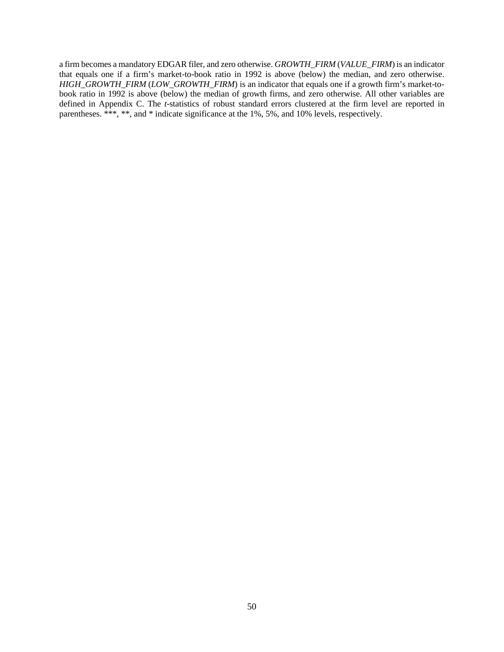a firm becomes a mandatory EDGAR filer, and zero otherwise. *GROWTH\_FIRM* (*VALUE\_FIRM*) is an indicator that equals one if a firm's market-to-book ratio in 1992 is above (below) the median, and zero otherwise. *HIGH\_GROWTH\_FIRM* (*LOW\_GROWTH\_FIRM*) is an indicator that equals one if a growth firm's market-tobook ratio in 1992 is above (below) the median of growth firms, and zero otherwise. All other variables are defined in Appendix C. The *t*-statistics of robust standard errors clustered at the firm level are reported in parentheses. \*\*\*, \*\*, and \* indicate significance at the 1%, 5%, and 10% levels, respectively.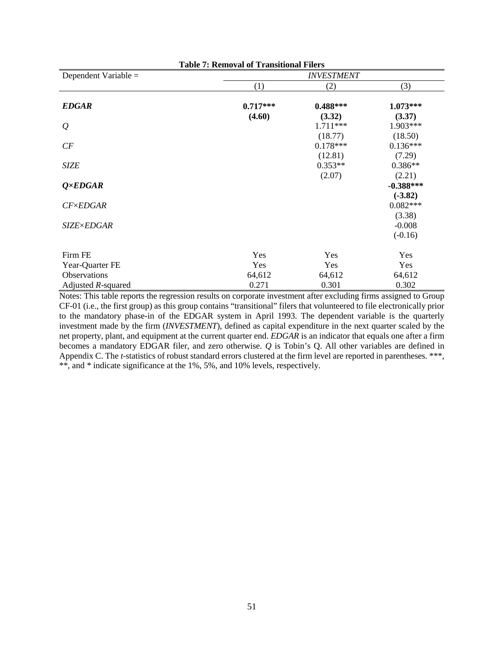| <b>Table 7: Removal of Transitional Filers</b> |                   |            |             |  |  |  |  |  |
|------------------------------------------------|-------------------|------------|-------------|--|--|--|--|--|
| Dependent Variable $=$                         | <b>INVESTMENT</b> |            |             |  |  |  |  |  |
|                                                | (1)               | (2)        | (3)         |  |  |  |  |  |
| <b>EDGAR</b>                                   | $0.717***$        | $0.488***$ | $1.073***$  |  |  |  |  |  |
|                                                | (4.60)            | (3.32)     | (3.37)      |  |  |  |  |  |
| $\varrho$                                      |                   | 1.711***   | 1.903***    |  |  |  |  |  |
|                                                |                   | (18.77)    | (18.50)     |  |  |  |  |  |
| CF                                             |                   | $0.178***$ | $0.136***$  |  |  |  |  |  |
|                                                |                   | (12.81)    | (7.29)      |  |  |  |  |  |
| <b>SIZE</b>                                    |                   | $0.353**$  | $0.386**$   |  |  |  |  |  |
|                                                |                   | (2.07)     | (2.21)      |  |  |  |  |  |
| $Q \times EDGAR$                               |                   |            | $-0.388***$ |  |  |  |  |  |
|                                                |                   |            | $(-3.82)$   |  |  |  |  |  |
| $CF\times EDGAR$                               |                   |            | $0.082***$  |  |  |  |  |  |
|                                                |                   |            | (3.38)      |  |  |  |  |  |
| <b>SIZE×EDGAR</b>                              |                   |            | $-0.008$    |  |  |  |  |  |
|                                                |                   |            | $(-0.16)$   |  |  |  |  |  |
| Firm FE                                        | Yes               | Yes        | Yes         |  |  |  |  |  |
| Year-Quarter FE                                | Yes               | Yes        | Yes         |  |  |  |  |  |
| Observations                                   | 64,612            | 64,612     | 64,612      |  |  |  |  |  |
| Adjusted $R$ -squared                          | 0.271             | 0.301      | 0.302       |  |  |  |  |  |

Notes: This table reports the regression results on corporate investment after excluding firms assigned to Group CF-01 (i.e., the first group) as this group contains "transitional" filers that volunteered to file electronically prior to the mandatory phase-in of the EDGAR system in April 1993. The dependent variable is the quarterly investment made by the firm (*INVESTMENT*), defined as capital expenditure in the next quarter scaled by the net property, plant, and equipment at the current quarter end. *EDGAR* is an indicator that equals one after a firm becomes a mandatory EDGAR filer, and zero otherwise. *Q* is Tobin's Q. All other variables are defined in Appendix C. The *t*-statistics of robust standard errors clustered at the firm level are reported in parentheses. \*\*\*, \*\*, and \* indicate significance at the 1%, 5%, and 10% levels, respectively.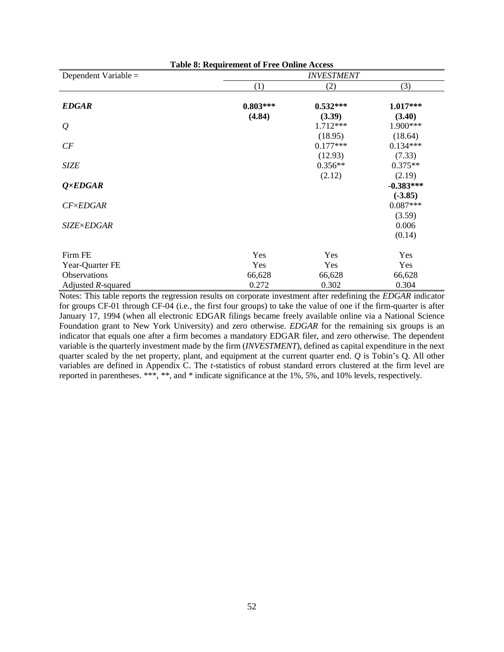| <b>Table 8: Requirement of Free Online Access</b> |            |                   |             |  |  |
|---------------------------------------------------|------------|-------------------|-------------|--|--|
| Dependent Variable =                              |            | <b>INVESTMENT</b> |             |  |  |
|                                                   | (1)        | (2)               | (3)         |  |  |
| <b>EDGAR</b>                                      | $0.803***$ | $0.532***$        | $1.017***$  |  |  |
|                                                   | (4.84)     | (3.39)            | (3.40)      |  |  |
| $\varrho$                                         |            | 1.712***          | 1.900***    |  |  |
|                                                   |            | (18.95)           | (18.64)     |  |  |
| CF                                                |            | $0.177***$        | $0.134***$  |  |  |
|                                                   |            | (12.93)           | (7.33)      |  |  |
| <b>SIZE</b>                                       |            | $0.356**$         | $0.375**$   |  |  |
|                                                   |            | (2.12)            | (2.19)      |  |  |
| $Q \times EDGAR$                                  |            |                   | $-0.383***$ |  |  |
|                                                   |            |                   | $(-3.85)$   |  |  |
| $CF \times EDGAR$                                 |            |                   | $0.087***$  |  |  |
|                                                   |            |                   | (3.59)      |  |  |
| <b>SIZE×EDGAR</b>                                 |            |                   | 0.006       |  |  |
|                                                   |            |                   | (0.14)      |  |  |
| Firm FE                                           | Yes        | Yes               | Yes         |  |  |
| Year-Quarter FE                                   | Yes        | Yes               | Yes         |  |  |
| <b>Observations</b>                               | 66,628     | 66,628            | 66,628      |  |  |
| Adjusted $R$ -squared                             | 0.272      | 0.302             | 0.304       |  |  |

Notes: This table reports the regression results on corporate investment after redefining the *EDGAR* indicator for groups CF-01 through CF-04 (i.e., the first four groups) to take the value of one if the firm-quarter is after January 17, 1994 (when all electronic EDGAR filings became freely available online via a National Science Foundation grant to New York University) and zero otherwise. *EDGAR* for the remaining six groups is an indicator that equals one after a firm becomes a mandatory EDGAR filer, and zero otherwise. The dependent variable is the quarterly investment made by the firm (*INVESTMENT*), defined as capital expenditure in the next quarter scaled by the net property, plant, and equipment at the current quarter end. *Q* is Tobin's Q. All other variables are defined in Appendix C. The *t*-statistics of robust standard errors clustered at the firm level are reported in parentheses. \*\*\*, \*\*, and \* indicate significance at the 1%, 5%, and 10% levels, respectively.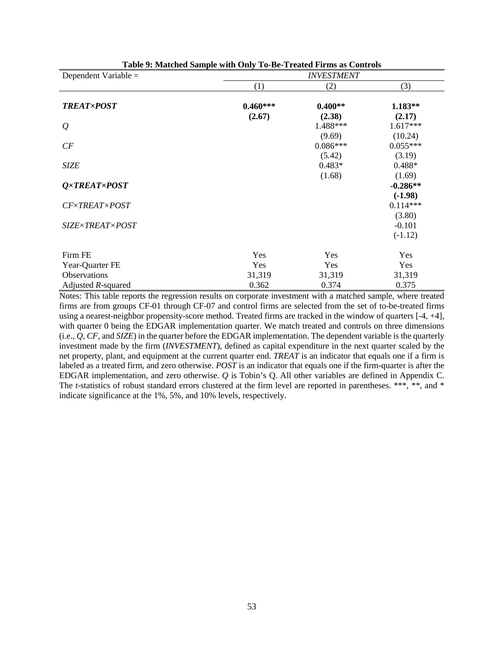| Dependent Variable $=$ | <b>INVESTMENT</b>    |                      |                         |  |  |
|------------------------|----------------------|----------------------|-------------------------|--|--|
|                        | (1)                  | (2)                  | (3)                     |  |  |
| <b>TREAT×POST</b>      | $0.460***$<br>(2.67) | $0.400**$<br>(2.38)  | $1.183**$<br>(2.17)     |  |  |
| $\varrho$              |                      | 1.488***             | $1.617***$              |  |  |
| CF                     |                      | (9.69)<br>$0.086***$ | (10.24)<br>$0.055***$   |  |  |
| <b>SIZE</b>            |                      | (5.42)<br>$0.483*$   | (3.19)<br>$0.488*$      |  |  |
| Q×TREAT×POST           |                      | (1.68)               | (1.69)<br>$-0.286**$    |  |  |
| <b>CF×TREAT×POST</b>   |                      |                      | $(-1.98)$<br>$0.114***$ |  |  |
| SIZE×TREAT×POST        |                      |                      | (3.80)<br>$-0.101$      |  |  |
|                        |                      |                      | $(-1.12)$               |  |  |
| Firm FE                | Yes                  | Yes                  | Yes                     |  |  |
| Year-Quarter FE        | Yes                  | Yes                  | Yes                     |  |  |
| Observations           | 31,319               | 31,319               | 31,319                  |  |  |
| Adjusted $R$ -squared  | 0.362                | 0.374                | 0.375                   |  |  |

| Table 9: Matched Sample with Only To-Be-Treated Firms as Controls |  |  |  |
|-------------------------------------------------------------------|--|--|--|
|-------------------------------------------------------------------|--|--|--|

Notes: This table reports the regression results on corporate investment with a matched sample, where treated firms are from groups CF-01 through CF-07 and control firms are selected from the set of to-be-treated firms using a nearest-neighbor propensity-score method. Treated firms are tracked in the window of quarters [-4, +4], with quarter 0 being the EDGAR implementation quarter. We match treated and controls on three dimensions (i.e., *Q*, *CF*, and *SIZE*) in the quarter before the EDGAR implementation. The dependent variable is the quarterly investment made by the firm (*INVESTMENT*), defined as capital expenditure in the next quarter scaled by the net property, plant, and equipment at the current quarter end. *TREAT* is an indicator that equals one if a firm is labeled as a treated firm, and zero otherwise. *POST* is an indicator that equals one if the firm-quarter is after the EDGAR implementation, and zero otherwise. *Q* is Tobin's Q. All other variables are defined in Appendix C. The *t*-statistics of robust standard errors clustered at the firm level are reported in parentheses. \*\*\*, \*\*, and \* indicate significance at the 1%, 5%, and 10% levels, respectively.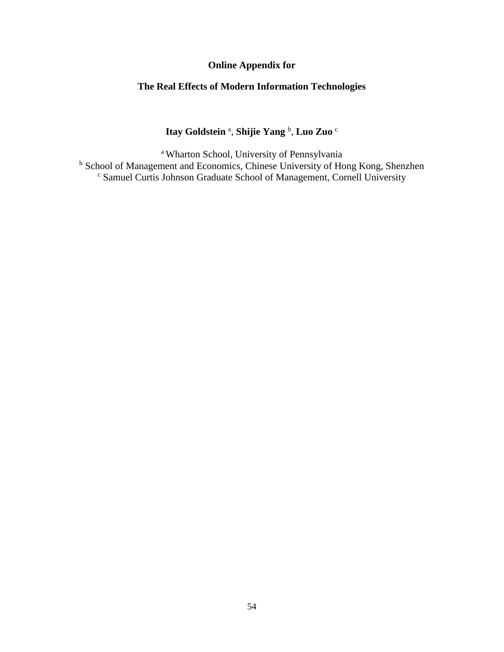# **Online Appendix for**

# **The Real Effects of Modern Information Technologies**

# **Itay Goldstein** <sup>a</sup> , **Shijie Yang** <sup>b</sup> , **Luo Zuo** <sup>c</sup>

a Wharton School, University of Pennsylvania <sup>b</sup> School of Management and Economics, Chinese University of Hong Kong, Shenzhen <sup>c</sup> Samuel Curtis Johnson Graduate School of Management, Cornell University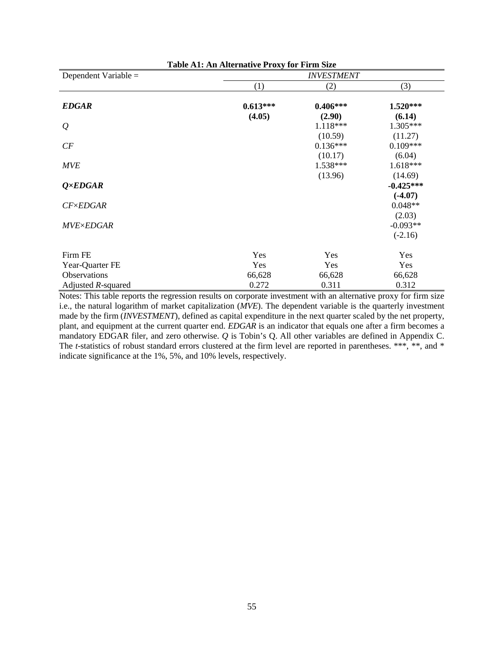| Table A1: An Alternative Proxy for Firm Size |            |                   |             |  |  |
|----------------------------------------------|------------|-------------------|-------------|--|--|
| Dependent Variable $=$                       |            | <b>INVESTMENT</b> |             |  |  |
|                                              | (1)        | (2)               | (3)         |  |  |
| <b>EDGAR</b>                                 | $0.613***$ | $0.406***$        | $1.520***$  |  |  |
|                                              | (4.05)     | (2.90)            | (6.14)      |  |  |
| $\varrho$                                    |            | 1.118***          | 1.305***    |  |  |
|                                              |            | (10.59)           | (11.27)     |  |  |
| CF                                           |            | $0.136***$        | $0.109***$  |  |  |
|                                              |            | (10.17)           | (6.04)      |  |  |
| <b>MVE</b>                                   |            | 1.538***          | $1.618***$  |  |  |
|                                              |            | (13.96)           | (14.69)     |  |  |
| $Q \times EDGAR$                             |            |                   | $-0.425***$ |  |  |
|                                              |            |                   | $(-4.07)$   |  |  |
| $CF\times EDGAR$                             |            |                   | $0.048**$   |  |  |
|                                              |            |                   | (2.03)      |  |  |
| <b>MVE×EDGAR</b>                             |            |                   | $-0.093**$  |  |  |
|                                              |            |                   | $(-2.16)$   |  |  |
| Firm FE                                      | Yes        | Yes               | Yes         |  |  |
| Year-Quarter FE                              | Yes        | Yes               | Yes         |  |  |
| <b>Observations</b>                          | 66,628     | 66,628            | 66,628      |  |  |
| Adjusted $R$ -squared                        | 0.272      | 0.311             | 0.312       |  |  |

Notes: This table reports the regression results on corporate investment with an alternative proxy for firm size i.e., the natural logarithm of market capitalization (*MVE*). The dependent variable is the quarterly investment made by the firm (*INVESTMENT*), defined as capital expenditure in the next quarter scaled by the net property, plant, and equipment at the current quarter end. *EDGAR* is an indicator that equals one after a firm becomes a mandatory EDGAR filer, and zero otherwise. *Q* is Tobin's Q. All other variables are defined in Appendix C. The *t*-statistics of robust standard errors clustered at the firm level are reported in parentheses. \*\*\*, \*\*, and \* indicate significance at the 1%, 5%, and 10% levels, respectively.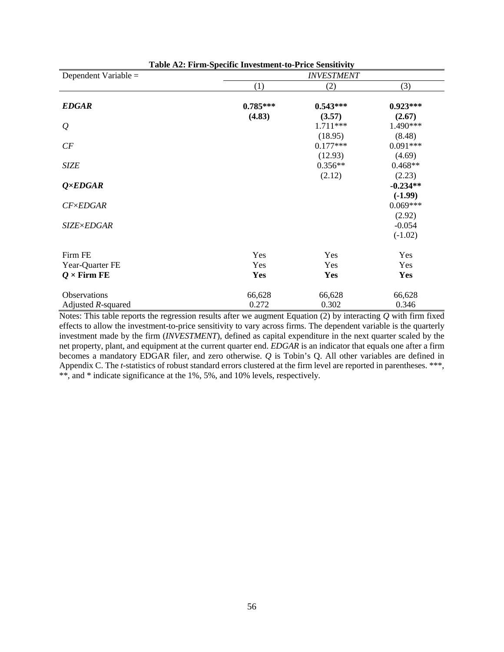| Dependent Variable =  |            | <b>INVESTMENT</b> |            |
|-----------------------|------------|-------------------|------------|
|                       | (1)        | (2)               | (3)        |
| <b>EDGAR</b>          | $0.785***$ | $0.543***$        | $0.923***$ |
|                       | (4.83)     | (3.57)            | (2.67)     |
| $\varrho$             |            | 1.711 ***         | 1.490***   |
|                       |            | (18.95)           | (8.48)     |
| CF                    |            | $0.177***$        | $0.091***$ |
|                       |            | (12.93)           | (4.69)     |
| <b>SIZE</b>           |            | $0.356**$         | $0.468**$  |
|                       |            | (2.12)            | (2.23)     |
| $Q \times EDGAR$      |            |                   | $-0.234**$ |
|                       |            |                   | $(-1.99)$  |
| $CF \times EDGAR$     |            |                   | $0.069***$ |
|                       |            |                   | (2.92)     |
| <b>SIZE×EDGAR</b>     |            |                   | $-0.054$   |
|                       |            |                   | $(-1.02)$  |
| Firm FE               | Yes        | Yes               | Yes        |
| Year-Quarter FE       | Yes        | Yes               | Yes        |
| $Q \times$ Firm FE    | Yes        | Yes               | <b>Yes</b> |
| Observations          | 66,628     | 66,628            | 66,628     |
| Adjusted $R$ -squared | 0.272      | 0.302             | 0.346      |

**Table A2: Firm-Specific Investment-to-Price Sensitivity**

Notes: This table reports the regression results after we augment Equation (2) by interacting *Q* with firm fixed effects to allow the investment-to-price sensitivity to vary across firms. The dependent variable is the quarterly investment made by the firm (*INVESTMENT*), defined as capital expenditure in the next quarter scaled by the net property, plant, and equipment at the current quarter end. *EDGAR* is an indicator that equals one after a firm becomes a mandatory EDGAR filer, and zero otherwise. *Q* is Tobin's Q. All other variables are defined in Appendix C. The *t*-statistics of robust standard errors clustered at the firm level are reported in parentheses. \*\*\*, \*\*, and \* indicate significance at the 1%, 5%, and 10% levels, respectively.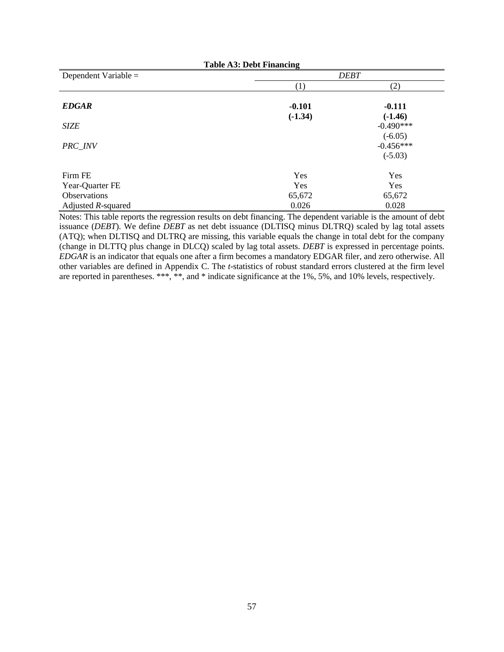| <b>Table A3: Debt Financing</b> |           |             |  |
|---------------------------------|-----------|-------------|--|
| Dependent Variable =            |           | <b>DEBT</b> |  |
|                                 | (1)       | (2)         |  |
| <b>EDGAR</b>                    | $-0.101$  | $-0.111$    |  |
|                                 | $(-1.34)$ | $(-1.46)$   |  |
| <b>SIZE</b>                     |           | $-0.490***$ |  |
|                                 |           | $(-6.05)$   |  |
| PRC_INV                         |           | $-0.456***$ |  |
|                                 |           | $(-5.03)$   |  |
| Firm FE                         | Yes       | Yes         |  |
| Year-Quarter FE                 | Yes       | Yes         |  |
| <b>Observations</b>             | 65,672    | 65,672      |  |
| Adjusted $R$ -squared           | 0.026     | 0.028       |  |

Notes: This table reports the regression results on debt financing. The dependent variable is the amount of debt issuance (*DEBT*). We define *DEBT* as net debt issuance (DLTISQ minus DLTRQ) scaled by lag total assets (ATQ); when DLTISQ and DLTRQ are missing, this variable equals the change in total debt for the company (change in DLTTQ plus change in DLCQ) scaled by lag total assets. *DEBT* is expressed in percentage points. *EDGAR* is an indicator that equals one after a firm becomes a mandatory EDGAR filer, and zero otherwise. All other variables are defined in Appendix C. The *t*-statistics of robust standard errors clustered at the firm level are reported in parentheses. \*\*\*, \*\*, and \* indicate significance at the 1%, 5%, and 10% levels, respectively.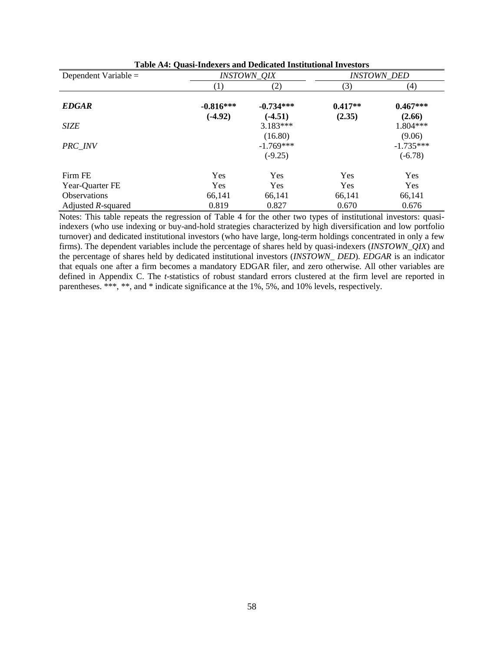| Dependent Variable $=$ | <i><b>INSTOWN_QIX</b></i> |                                     |                     | <i><b>INSTOWN DED</b></i>          |
|------------------------|---------------------------|-------------------------------------|---------------------|------------------------------------|
|                        | $\left(1\right)$          | (2)                                 | (3)                 | (4)                                |
| <b>EDGAR</b>           | $-0.816***$<br>$(-4.92)$  | $-0.734***$<br>$(-4.51)$            | $0.417**$<br>(2.35) | $0.467***$<br>(2.66)               |
| <b>SIZE</b>            |                           | $3.183***$                          |                     | 1.804***                           |
| PRC INV                |                           | (16.80)<br>$-1.769***$<br>$(-9.25)$ |                     | (9.06)<br>$-1.735***$<br>$(-6.78)$ |
| Firm FE                | Yes                       | Yes                                 | Yes                 | Yes                                |
| Year-Quarter FE        | Yes                       | Yes                                 | Yes                 | <b>Yes</b>                         |
| <b>Observations</b>    | 66,141                    | 66,141                              | 66,141              | 66,141                             |
| Adjusted R-squared     | 0.819                     | 0.827                               | 0.670               | 0.676                              |

| <b>Table A4: Quasi-Indexers and Dedicated Institutional Investors</b> |  |  |
|-----------------------------------------------------------------------|--|--|
|-----------------------------------------------------------------------|--|--|

Notes: This table repeats the regression of Table 4 for the other two types of institutional investors: quasiindexers (who use indexing or buy-and-hold strategies characterized by high diversification and low portfolio turnover) and dedicated institutional investors (who have large, long-term holdings concentrated in only a few firms). The dependent variables include the percentage of shares held by quasi-indexers (*INSTOWN\_QIX*) and the percentage of shares held by dedicated institutional investors (*INSTOWN\_ DED*). *EDGAR* is an indicator that equals one after a firm becomes a mandatory EDGAR filer, and zero otherwise. All other variables are defined in Appendix C. The *t*-statistics of robust standard errors clustered at the firm level are reported in parentheses. \*\*\*, \*\*, and \* indicate significance at the 1%, 5%, and 10% levels, respectively.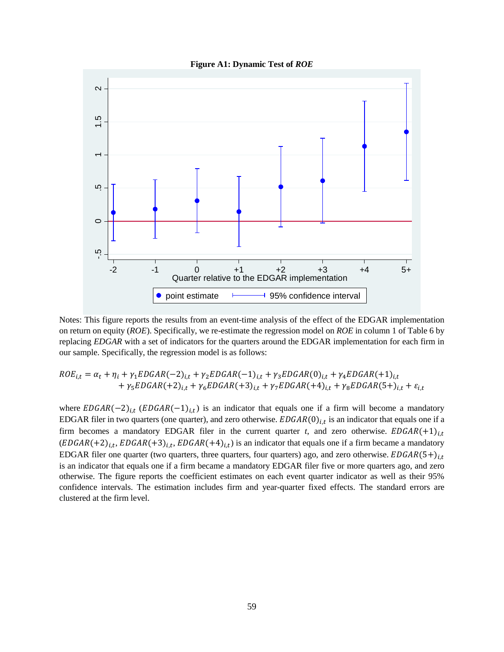

**Figure A1: Dynamic Test of** *ROE*

Notes: This figure reports the results from an event-time analysis of the effect of the EDGAR implementation on return on equity (*ROE*). Specifically, we re-estimate the regression model on *ROE* in column 1 of Table 6 by replacing *EDGAR* with a set of indicators for the quarters around the EDGAR implementation for each firm in our sample. Specifically, the regression model is as follows:

$$
ROE_{i,t} = \alpha_t + \eta_i + \gamma_1 EDGAR(-2)_{i,t} + \gamma_2 EDGAR(-1)_{i,t} + \gamma_3 EDGAR(0)_{i,t} + \gamma_4 EDGAR(+1)_{i,t} + \gamma_5 EDGAR(+2)_{i,t} + \gamma_6 EDGAR(+3)_{i,t} + \gamma_7 EDGAR(+4)_{i,t} + \gamma_8 EDGAR(5+)_{i,t} + \varepsilon_{i,t}
$$

where  $EDGAR(-2)_{i,t}$  ( $EDGAR(-1)_{i,t}$ ) is an indicator that equals one if a firm will become a mandatory EDGAR filer in two quarters (one quarter), and zero otherwise.  $EDGAR(0)_{i,t}$  is an indicator that equals one if a firm becomes a mandatory EDGAR filer in the current quarter *t*, and zero otherwise.  $EDGAR(+1)_{i,t}$  $(EDGAR(+2)<sub>i,t</sub>, EDGAR(+3)<sub>i,t</sub>, EDGAR(+4)<sub>i,t</sub>)$  is an indicator that equals one if a firm became a mandatory EDGAR filer one quarter (two quarters, three quarters, four quarters) ago, and zero otherwise.  $EDGAR(5+)_{i,t}$ is an indicator that equals one if a firm became a mandatory EDGAR filer five or more quarters ago, and zero otherwise. The figure reports the coefficient estimates on each event quarter indicator as well as their 95% confidence intervals. The estimation includes firm and year-quarter fixed effects. The standard errors are Notes: This figure reports<br>
on return on equity (*ROE*)<br>
replacing *EDGAR* with a sour sample. Specifically, t<br> *ROE<sub>i,t</sub>* =  $\alpha_t$  +  $\eta_i$  +  $\gamma_5 ED$ <br>
+  $\gamma_5 ED$ <br>
where *EDGAR* (-2)<sub>*i,t*</sub> (*EL*<br>
EDGAR filer in two quart<br>
f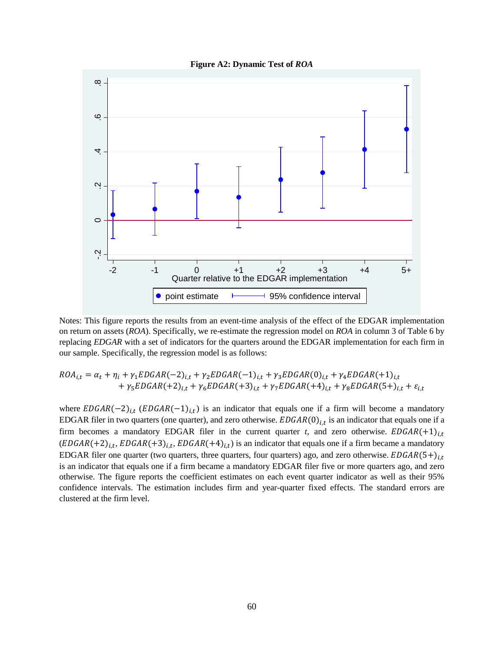



Notes: This figure reports the results from an event-time analysis of the effect of the EDGAR implementation on return on assets (*ROA*). Specifically, we re-estimate the regression model on *ROA* in column 3 of Table 6 by replacing *EDGAR* with a set of indicators for the quarters around the EDGAR implementation for each firm in our sample. Specifically, the regression model is as follows:

$$
ROA_{i,t} = \alpha_t + \eta_i + \gamma_1 EDGAR(-2)_{i,t} + \gamma_2 EDGAR(-1)_{i,t} + \gamma_3 EDGAR(0)_{i,t} + \gamma_4 EDGAR(+1)_{i,t} + \gamma_5 EDGAR(+2)_{i,t} + \gamma_6 EDGAR(+3)_{i,t} + \gamma_7 EDGAR(+4)_{i,t} + \gamma_8 EDGAR(5+)_{i,t} + \varepsilon_{i,t}
$$

where  $EDGAR(-2)_{i,t}$  ( $EDGAR(-1)_{i,t}$ ) is an indicator that equals one if a firm will become a mandatory EDGAR filer in two quarters (one quarter), and zero otherwise.  $EDGAR(0)_{i,t}$  is an indicator that equals one if a firm becomes a mandatory EDGAR filer in the current quarter *t*, and zero otherwise.  $EDGAR(+1)_{i,t}$  $(EDGAR(+2)<sub>i,t</sub>, EDGAR(+3)<sub>i,t</sub>, EDGAR(+4)<sub>i,t</sub>)$  is an indicator that equals one if a firm became a mandatory EDGAR filer one quarter (two quarters, three quarters, four quarters) ago, and zero otherwise.  $EDGAR(5+)_{i,t}$ is an indicator that equals one if a firm became a mandatory EDGAR filer five or more quarters ago, and zero otherwise. The figure reports the coefficient estimates on each event quarter indicator as well as their 95% confidence intervals. The estimation includes firm and year-quarter fixed effects. The standard errors are Notes: This figure reports<br>
on return on assets (*ROA*).<br>
replacing *EDGAR* with a sour sample. Specifically, t<br> *ROA<sub>i,t</sub>* =  $\alpha_t$  +  $\eta_i$  +  $\gamma_5 ED$ <br>
+  $\gamma_5 ED$ <br>
where *EDGAR* (-2)<sub>*i,t*</sub> (*EL*<br>
EDGAR filer in two quart<br>